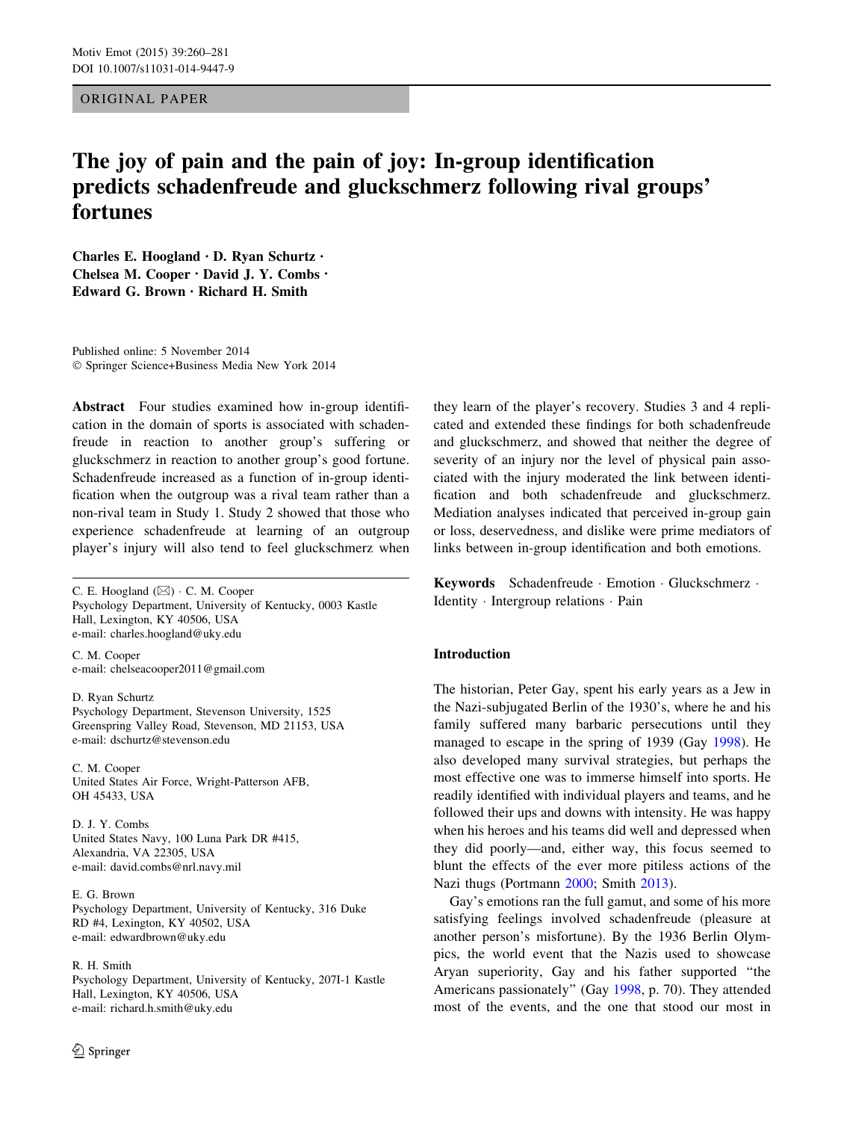ORIGINAL PAPER

# The joy of pain and the pain of joy: In-group identification predicts schadenfreude and gluckschmerz following rival groups' fortunes

Charles E. Hoogland • D. Ryan Schurtz • Chelsea M. Cooper • David J. Y. Combs • Edward G. Brown • Richard H. Smith

Published online: 5 November 2014 ! Springer Science+Business Media New York 2014

Abstract Four studies examined how in-group identification in the domain of sports is associated with schadenfreude in reaction to another group's suffering or gluckschmerz in reaction to another group's good fortune. Schadenfreude increased as a function of in-group identification when the outgroup was a rival team rather than a non-rival team in Study 1. Study 2 showed that those who experience schadenfreude at learning of an outgroup player's injury will also tend to feel gluckschmerz when

C. E. Hoogland  $(\boxtimes) \cdot$  C. M. Cooper Psychology Department, University of Kentucky, 0003 Kastle Hall, Lexington, KY 40506, USA e-mail: charles.hoogland@uky.edu

C. M. Cooper e-mail: chelseacooper2011@gmail.com

D. Ryan Schurtz Psychology Department, Stevenson University, 1525 Greenspring Valley Road, Stevenson, MD 21153, USA e-mail: dschurtz@stevenson.edu

C. M. Cooper United States Air Force, Wright-Patterson AFB, OH 45433, USA

D. J. Y. Combs United States Navy, 100 Luna Park DR #415, Alexandria, VA 22305, USA e-mail: david.combs@nrl.navy.mil

E. G. Brown Psychology Department, University of Kentucky, 316 Duke RD #4, Lexington, KY 40502, USA e-mail: edwardbrown@uky.edu

R. H. Smith

Psychology Department, University of Kentucky, 207I-1 Kastle Hall, Lexington, KY 40506, USA e-mail: richard.h.smith@uky.edu

they learn of the player's recovery. Studies 3 and 4 replicated and extended these findings for both schadenfreude and gluckschmerz, and showed that neither the degree of severity of an injury nor the level of physical pain associated with the injury moderated the link between identification and both schadenfreude and gluckschmerz. Mediation analyses indicated that perceived in-group gain or loss, deservedness, and dislike were prime mediators of links between in-group identification and both emotions.

Keywords Schadenfreude · Emotion · Gluckschmerz · Identity · Intergroup relations · Pain

#### Introduction

The historian, Peter Gay, spent his early years as a Jew in the Nazi-subjugated Berlin of the 1930's, where he and his family suffered many barbaric persecutions until they managed to escape in the spring of 1939 (Gay [1998](#page-20-0)). He also developed many survival strategies, but perhaps the most effective one was to immerse himself into sports. He readily identified with individual players and teams, and he followed their ups and downs with intensity. He was happy when his heroes and his teams did well and depressed when they did poorly—and, either way, this focus seemed to blunt the effects of the ever more pitiless actions of the Nazi thugs (Portmann [2000;](#page-20-0) Smith [2013](#page-20-0)).

Gay's emotions ran the full gamut, and some of his more satisfying feelings involved schadenfreude (pleasure at another person's misfortune). By the 1936 Berlin Olympics, the world event that the Nazis used to showcase Aryan superiority, Gay and his father supported ''the Americans passionately'' (Gay [1998,](#page-20-0) p. 70). They attended most of the events, and the one that stood our most in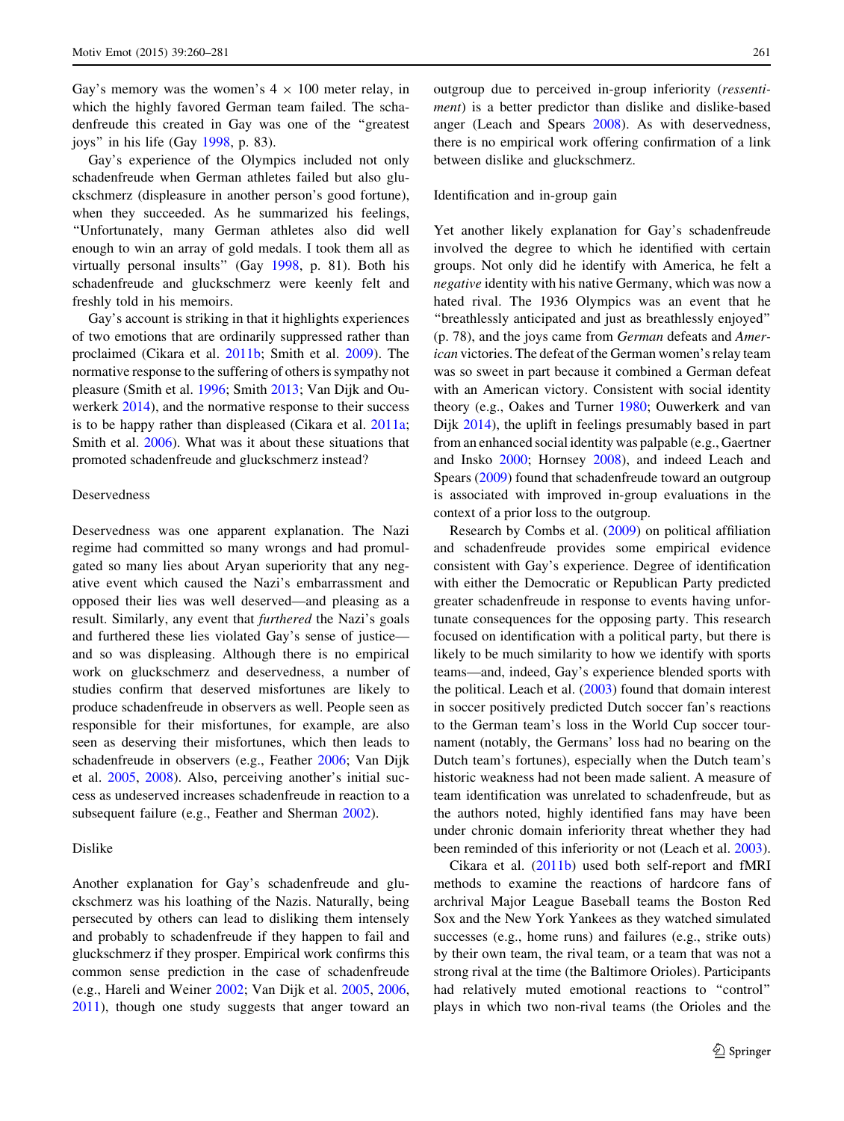Gay's memory was the women's  $4 \times 100$  meter relay, in which the highly favored German team failed. The schadenfreude this created in Gay was one of the ''greatest joys'' in his life (Gay [1998,](#page-20-0) p. 83).

Gay's experience of the Olympics included not only schadenfreude when German athletes failed but also gluckschmerz (displeasure in another person's good fortune), when they succeeded. As he summarized his feelings, ''Unfortunately, many German athletes also did well enough to win an array of gold medals. I took them all as virtually personal insults'' (Gay [1998](#page-20-0), p. 81). Both his schadenfreude and gluckschmerz were keenly felt and freshly told in his memoirs.

Gay's account is striking in that it highlights experiences of two emotions that are ordinarily suppressed rather than proclaimed (Cikara et al. [2011b](#page-19-0); Smith et al. [2009\)](#page-20-0). The normative response to the suffering of others is sympathy not pleasure (Smith et al. [1996](#page-20-0); Smith [2013](#page-20-0); Van Dijk and Ouwerkerk [2014](#page-20-0)), and the normative response to their success is to be happy rather than displeased (Cikara et al. [2011a](#page-19-0); Smith et al. [2006\)](#page-20-0). What was it about these situations that promoted schadenfreude and gluckschmerz instead?

## Deservedness

Deservedness was one apparent explanation. The Nazi regime had committed so many wrongs and had promulgated so many lies about Aryan superiority that any negative event which caused the Nazi's embarrassment and opposed their lies was well deserved—and pleasing as a result. Similarly, any event that furthered the Nazi's goals and furthered these lies violated Gay's sense of justice and so was displeasing. Although there is no empirical work on gluckschmerz and deservedness, a number of studies confirm that deserved misfortunes are likely to produce schadenfreude in observers as well. People seen as responsible for their misfortunes, for example, are also seen as deserving their misfortunes, which then leads to schadenfreude in observers (e.g., Feather [2006](#page-20-0); Van Dijk et al. [2005,](#page-20-0) [2008](#page-20-0)). Also, perceiving another's initial success as undeserved increases schadenfreude in reaction to a subsequent failure (e.g., Feather and Sherman [2002\)](#page-20-0).

## Dislike

Another explanation for Gay's schadenfreude and gluckschmerz was his loathing of the Nazis. Naturally, being persecuted by others can lead to disliking them intensely and probably to schadenfreude if they happen to fail and gluckschmerz if they prosper. Empirical work confirms this common sense prediction in the case of schadenfreude (e.g., Hareli and Weiner [2002](#page-20-0); Van Dijk et al. [2005](#page-20-0), [2006,](#page-20-0) [2011\)](#page-20-0), though one study suggests that anger toward an outgroup due to perceived in-group inferiority (ressentiment) is a better predictor than dislike and dislike-based anger (Leach and Spears [2008\)](#page-20-0). As with deservedness, there is no empirical work offering confirmation of a link between dislike and gluckschmerz.

#### Identification and in-group gain

Yet another likely explanation for Gay's schadenfreude involved the degree to which he identified with certain groups. Not only did he identify with America, he felt a negative identity with his native Germany, which was now a hated rival. The 1936 Olympics was an event that he ''breathlessly anticipated and just as breathlessly enjoyed'' (p. 78), and the joys came from German defeats and American victories. The defeat of the German women's relay team was so sweet in part because it combined a German defeat with an American victory. Consistent with social identity theory (e.g., Oakes and Turner [1980;](#page-20-0) Ouwerkerk and van Dijk [2014](#page-20-0)), the uplift in feelings presumably based in part from an enhanced social identity was palpable (e.g., Gaertner and Insko [2000](#page-20-0); Hornsey [2008\)](#page-20-0), and indeed Leach and Spears [\(2009](#page-20-0)) found that schadenfreude toward an outgroup is associated with improved in-group evaluations in the context of a prior loss to the outgroup.

Research by Combs et al. [\(2009](#page-20-0)) on political affiliation and schadenfreude provides some empirical evidence consistent with Gay's experience. Degree of identification with either the Democratic or Republican Party predicted greater schadenfreude in response to events having unfortunate consequences for the opposing party. This research focused on identification with a political party, but there is likely to be much similarity to how we identify with sports teams—and, indeed, Gay's experience blended sports with the political. Leach et al.  $(2003)$  $(2003)$  found that domain interest in soccer positively predicted Dutch soccer fan's reactions to the German team's loss in the World Cup soccer tournament (notably, the Germans' loss had no bearing on the Dutch team's fortunes), especially when the Dutch team's historic weakness had not been made salient. A measure of team identification was unrelated to schadenfreude, but as the authors noted, highly identified fans may have been under chronic domain inferiority threat whether they had been reminded of this inferiority or not (Leach et al. [2003](#page-20-0)).

Cikara et al. [\(2011b](#page-19-0)) used both self-report and fMRI methods to examine the reactions of hardcore fans of archrival Major League Baseball teams the Boston Red Sox and the New York Yankees as they watched simulated successes (e.g., home runs) and failures (e.g., strike outs) by their own team, the rival team, or a team that was not a strong rival at the time (the Baltimore Orioles). Participants had relatively muted emotional reactions to ''control'' plays in which two non-rival teams (the Orioles and the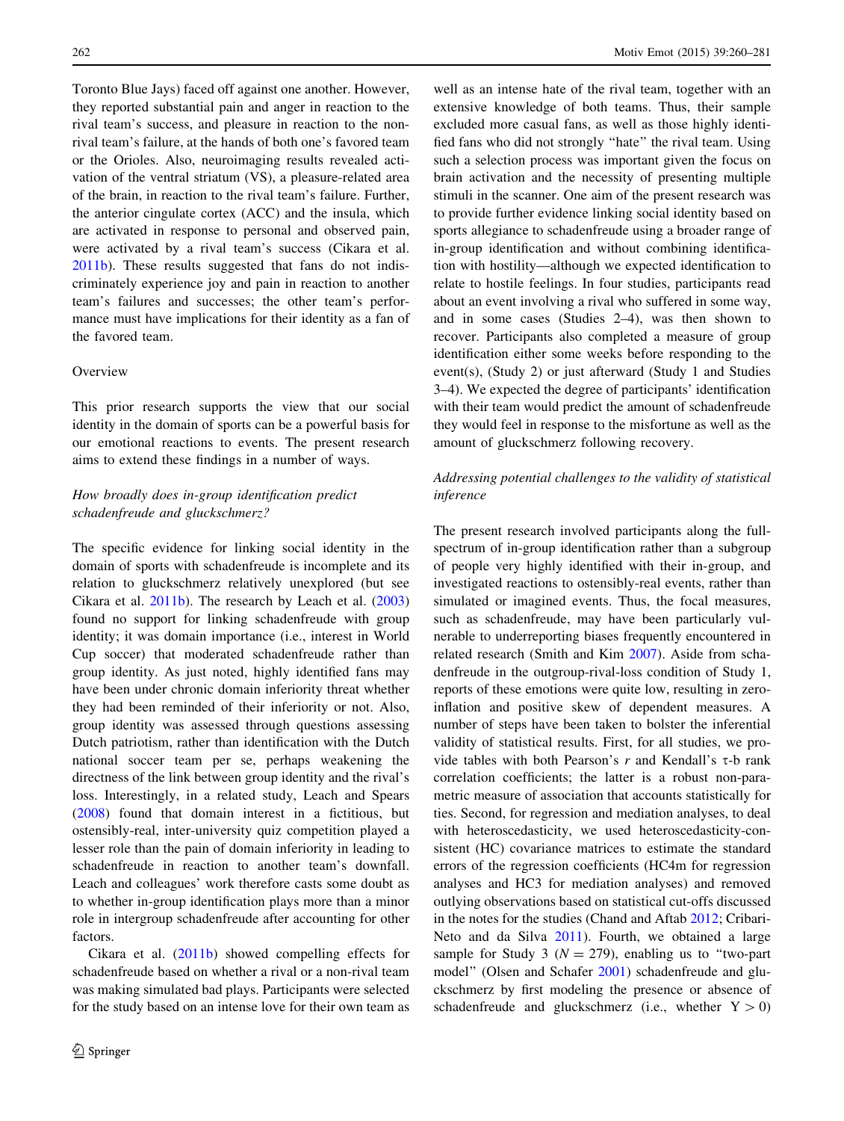Toronto Blue Jays) faced off against one another. However, they reported substantial pain and anger in reaction to the rival team's success, and pleasure in reaction to the nonrival team's failure, at the hands of both one's favored team or the Orioles. Also, neuroimaging results revealed activation of the ventral striatum (VS), a pleasure-related area of the brain, in reaction to the rival team's failure. Further, the anterior cingulate cortex (ACC) and the insula, which are activated in response to personal and observed pain, were activated by a rival team's success (Cikara et al. [2011b\)](#page-19-0). These results suggested that fans do not indiscriminately experience joy and pain in reaction to another team's failures and successes; the other team's performance must have implications for their identity as a fan of the favored team.

# Overview

This prior research supports the view that our social identity in the domain of sports can be a powerful basis for our emotional reactions to events. The present research aims to extend these findings in a number of ways.

# How broadly does in-group identification predict schadenfreude and gluckschmerz?

The specific evidence for linking social identity in the domain of sports with schadenfreude is incomplete and its relation to gluckschmerz relatively unexplored (but see Cikara et al. [2011b\)](#page-19-0). The research by Leach et al. ([2003\)](#page-20-0) found no support for linking schadenfreude with group identity; it was domain importance (i.e., interest in World Cup soccer) that moderated schadenfreude rather than group identity. As just noted, highly identified fans may have been under chronic domain inferiority threat whether they had been reminded of their inferiority or not. Also, group identity was assessed through questions assessing Dutch patriotism, rather than identification with the Dutch national soccer team per se, perhaps weakening the directness of the link between group identity and the rival's loss. Interestingly, in a related study, Leach and Spears [\(2008](#page-20-0)) found that domain interest in a fictitious, but ostensibly-real, inter-university quiz competition played a lesser role than the pain of domain inferiority in leading to schadenfreude in reaction to another team's downfall. Leach and colleagues' work therefore casts some doubt as to whether in-group identification plays more than a minor role in intergroup schadenfreude after accounting for other factors.

Cikara et al. ([2011b](#page-19-0)) showed compelling effects for schadenfreude based on whether a rival or a non-rival team was making simulated bad plays. Participants were selected for the study based on an intense love for their own team as

well as an intense hate of the rival team, together with an extensive knowledge of both teams. Thus, their sample excluded more casual fans, as well as those highly identified fans who did not strongly ''hate'' the rival team. Using such a selection process was important given the focus on brain activation and the necessity of presenting multiple stimuli in the scanner. One aim of the present research was to provide further evidence linking social identity based on sports allegiance to schadenfreude using a broader range of in-group identification and without combining identification with hostility—although we expected identification to relate to hostile feelings. In four studies, participants read about an event involving a rival who suffered in some way, and in some cases (Studies 2–4), was then shown to recover. Participants also completed a measure of group identification either some weeks before responding to the event(s), (Study 2) or just afterward (Study 1 and Studies 3–4). We expected the degree of participants' identification with their team would predict the amount of schadenfreude they would feel in response to the misfortune as well as the amount of gluckschmerz following recovery.

# Addressing potential challenges to the validity of statistical inference

The present research involved participants along the fullspectrum of in-group identification rather than a subgroup of people very highly identified with their in-group, and investigated reactions to ostensibly-real events, rather than simulated or imagined events. Thus, the focal measures, such as schadenfreude, may have been particularly vulnerable to underreporting biases frequently encountered in related research (Smith and Kim [2007\)](#page-20-0). Aside from schadenfreude in the outgroup-rival-loss condition of Study 1, reports of these emotions were quite low, resulting in zeroinflation and positive skew of dependent measures. A number of steps have been taken to bolster the inferential validity of statistical results. First, for all studies, we provide tables with both Pearson's  $r$  and Kendall's  $\tau$ -b rank correlation coefficients; the latter is a robust non-parametric measure of association that accounts statistically for ties. Second, for regression and mediation analyses, to deal with heteroscedasticity, we used heteroscedasticity-consistent (HC) covariance matrices to estimate the standard errors of the regression coefficients (HC4m for regression analyses and HC3 for mediation analyses) and removed outlying observations based on statistical cut-offs discussed in the notes for the studies (Chand and Aftab [2012](#page-19-0); Cribari-Neto and da Silva [2011\)](#page-20-0). Fourth, we obtained a large sample for Study 3 ( $N = 279$ ), enabling us to "two-part model'' (Olsen and Schafer [2001](#page-20-0)) schadenfreude and gluckschmerz by first modeling the presence or absence of schadenfreude and gluckschmerz (i.e., whether  $Y > 0$ )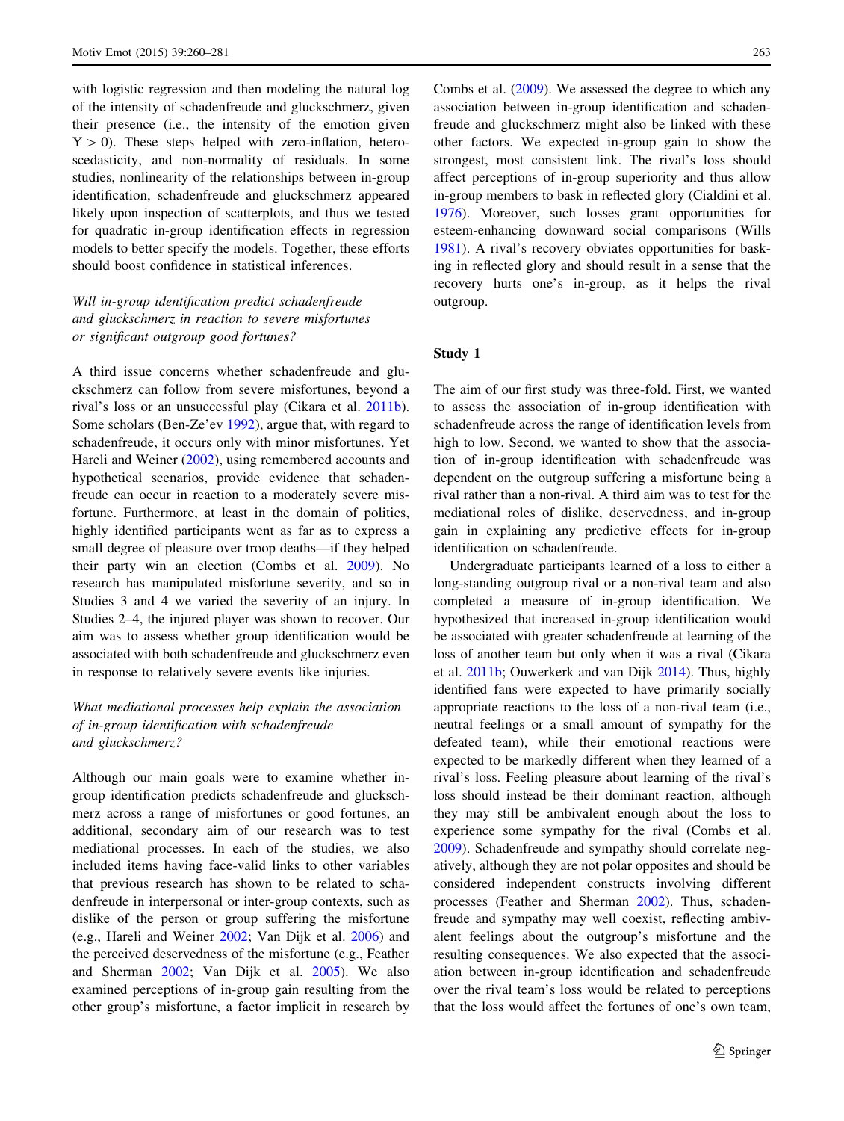with logistic regression and then modeling the natural log of the intensity of schadenfreude and gluckschmerz, given their presence (i.e., the intensity of the emotion given  $Y > 0$ ). These steps helped with zero-inflation, heteroscedasticity, and non-normality of residuals. In some studies, nonlinearity of the relationships between in-group identification, schadenfreude and gluckschmerz appeared likely upon inspection of scatterplots, and thus we tested for quadratic in-group identification effects in regression models to better specify the models. Together, these efforts should boost confidence in statistical inferences.

# Will in-group identification predict schadenfreude and gluckschmerz in reaction to severe misfortunes or significant outgroup good fortunes?

A third issue concerns whether schadenfreude and gluckschmerz can follow from severe misfortunes, beyond a rival's loss or an unsuccessful play (Cikara et al. [2011b](#page-19-0)). Some scholars (Ben-Ze'ev [1992](#page-19-0)), argue that, with regard to schadenfreude, it occurs only with minor misfortunes. Yet Hareli and Weiner [\(2002](#page-20-0)), using remembered accounts and hypothetical scenarios, provide evidence that schadenfreude can occur in reaction to a moderately severe misfortune. Furthermore, at least in the domain of politics, highly identified participants went as far as to express a small degree of pleasure over troop deaths—if they helped their party win an election (Combs et al. [2009\)](#page-20-0). No research has manipulated misfortune severity, and so in Studies 3 and 4 we varied the severity of an injury. In Studies 2–4, the injured player was shown to recover. Our aim was to assess whether group identification would be associated with both schadenfreude and gluckschmerz even in response to relatively severe events like injuries.

# What mediational processes help explain the association of in-group identification with schadenfreude and gluckschmerz?

Although our main goals were to examine whether ingroup identification predicts schadenfreude and gluckschmerz across a range of misfortunes or good fortunes, an additional, secondary aim of our research was to test mediational processes. In each of the studies, we also included items having face-valid links to other variables that previous research has shown to be related to schadenfreude in interpersonal or inter-group contexts, such as dislike of the person or group suffering the misfortune (e.g., Hareli and Weiner [2002](#page-20-0); Van Dijk et al. [2006\)](#page-20-0) and the perceived deservedness of the misfortune (e.g., Feather and Sherman [2002;](#page-20-0) Van Dijk et al. [2005](#page-20-0)). We also examined perceptions of in-group gain resulting from the other group's misfortune, a factor implicit in research by Combs et al. ([2009\)](#page-20-0). We assessed the degree to which any association between in-group identification and schadenfreude and gluckschmerz might also be linked with these other factors. We expected in-group gain to show the strongest, most consistent link. The rival's loss should affect perceptions of in-group superiority and thus allow in-group members to bask in reflected glory (Cialdini et al. [1976](#page-19-0)). Moreover, such losses grant opportunities for esteem-enhancing downward social comparisons (Wills [1981](#page-21-0)). A rival's recovery obviates opportunities for basking in reflected glory and should result in a sense that the recovery hurts one's in-group, as it helps the rival outgroup.

# Study 1

The aim of our first study was three-fold. First, we wanted to assess the association of in-group identification with schadenfreude across the range of identification levels from high to low. Second, we wanted to show that the association of in-group identification with schadenfreude was dependent on the outgroup suffering a misfortune being a rival rather than a non-rival. A third aim was to test for the mediational roles of dislike, deservedness, and in-group gain in explaining any predictive effects for in-group identification on schadenfreude.

Undergraduate participants learned of a loss to either a long-standing outgroup rival or a non-rival team and also completed a measure of in-group identification. We hypothesized that increased in-group identification would be associated with greater schadenfreude at learning of the loss of another team but only when it was a rival (Cikara et al. [2011b](#page-19-0); Ouwerkerk and van Dijk [2014](#page-20-0)). Thus, highly identified fans were expected to have primarily socially appropriate reactions to the loss of a non-rival team (i.e., neutral feelings or a small amount of sympathy for the defeated team), while their emotional reactions were expected to be markedly different when they learned of a rival's loss. Feeling pleasure about learning of the rival's loss should instead be their dominant reaction, although they may still be ambivalent enough about the loss to experience some sympathy for the rival (Combs et al. [2009](#page-20-0)). Schadenfreude and sympathy should correlate negatively, although they are not polar opposites and should be considered independent constructs involving different processes (Feather and Sherman [2002\)](#page-20-0). Thus, schadenfreude and sympathy may well coexist, reflecting ambivalent feelings about the outgroup's misfortune and the resulting consequences. We also expected that the association between in-group identification and schadenfreude over the rival team's loss would be related to perceptions that the loss would affect the fortunes of one's own team,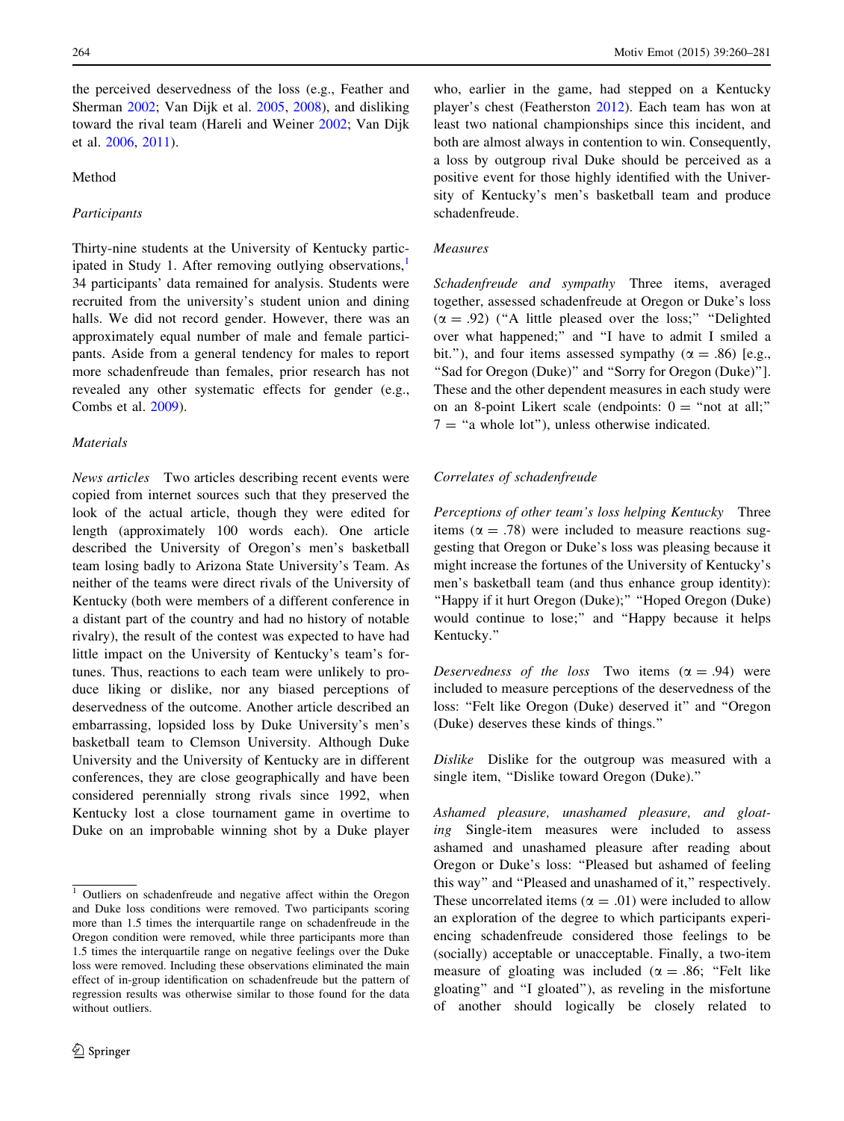the perceived deservedness of the loss (e.g., Feather and Sherman [2002;](#page-20-0) Van Dijk et al. [2005](#page-20-0), [2008\)](#page-20-0), and disliking toward the rival team (Hareli and Weiner [2002](#page-20-0); Van Dijk et al. [2006,](#page-20-0) [2011](#page-20-0)).

## Method

#### Participants

Thirty-nine students at the University of Kentucky participated in Study 1. After removing outlying observations,<sup>1</sup> 34 participants' data remained for analysis. Students were recruited from the university's student union and dining halls. We did not record gender. However, there was an approximately equal number of male and female participants. Aside from a general tendency for males to report more schadenfreude than females, prior research has not revealed any other systematic effects for gender (e.g., Combs et al. [2009](#page-20-0)).

# Materials

News articles Two articles describing recent events were copied from internet sources such that they preserved the look of the actual article, though they were edited for length (approximately 100 words each). One article described the University of Oregon's men's basketball team losing badly to Arizona State University's Team. As neither of the teams were direct rivals of the University of Kentucky (both were members of a different conference in a distant part of the country and had no history of notable rivalry), the result of the contest was expected to have had little impact on the University of Kentucky's team's fortunes. Thus, reactions to each team were unlikely to produce liking or dislike, nor any biased perceptions of deservedness of the outcome. Another article described an embarrassing, lopsided loss by Duke University's men's basketball team to Clemson University. Although Duke University and the University of Kentucky are in different conferences, they are close geographically and have been considered perennially strong rivals since 1992, when Kentucky lost a close tournament game in overtime to Duke on an improbable winning shot by a Duke player

who, earlier in the game, had stepped on a Kentucky player's chest (Featherston [2012](#page-20-0)). Each team has won at least two national championships since this incident, and both are almost always in contention to win. Consequently, a loss by outgroup rival Duke should be perceived as a positive event for those highly identified with the University of Kentucky's men's basketball team and produce schadenfreude.

#### Measures

Schadenfreude and sympathy Three items, averaged together, assessed schadenfreude at Oregon or Duke's loss  $(\alpha = .92)$  ("A little pleased over the loss;" "Delighted over what happened;'' and ''I have to admit I smiled a bit."), and four items assessed sympathy ( $\alpha = .86$ ) [e.g., ''Sad for Oregon (Duke)'' and ''Sorry for Oregon (Duke)'']. These and the other dependent measures in each study were on an 8-point Likert scale (endpoints:  $0 =$  "not at all;"  $7 =$  "a whole lot"), unless otherwise indicated.

#### Correlates of schadenfreude

Perceptions of other team's loss helping Kentucky Three items ( $\alpha = .78$ ) were included to measure reactions suggesting that Oregon or Duke's loss was pleasing because it might increase the fortunes of the University of Kentucky's men's basketball team (and thus enhance group identity): ''Happy if it hurt Oregon (Duke);'' ''Hoped Oregon (Duke) would continue to lose;'' and ''Happy because it helps Kentucky.''

Deservedness of the loss Two items  $(\alpha = .94)$  were included to measure perceptions of the deservedness of the loss: "Felt like Oregon (Duke) deserved it" and "Oregon (Duke) deserves these kinds of things.''

Dislike Dislike for the outgroup was measured with a single item, ''Dislike toward Oregon (Duke).''

Ashamed pleasure, unashamed pleasure, and gloating Single-item measures were included to assess ashamed and unashamed pleasure after reading about Oregon or Duke's loss: ''Pleased but ashamed of feeling this way'' and ''Pleased and unashamed of it,'' respectively. These uncorrelated items ( $\alpha = .01$ ) were included to allow an exploration of the degree to which participants experiencing schadenfreude considered those feelings to be (socially) acceptable or unacceptable. Finally, a two-item measure of gloating was included ( $\alpha = .86$ ; "Felt like gloating'' and ''I gloated''), as reveling in the misfortune of another should logically be closely related to

<sup>&</sup>lt;sup>1</sup> Outliers on schadenfreude and negative affect within the Oregon and Duke loss conditions were removed. Two participants scoring more than 1.5 times the interquartile range on schadenfreude in the Oregon condition were removed, while three participants more than 1.5 times the interquartile range on negative feelings over the Duke loss were removed. Including these observations eliminated the main effect of in-group identification on schadenfreude but the pattern of regression results was otherwise similar to those found for the data without outliers.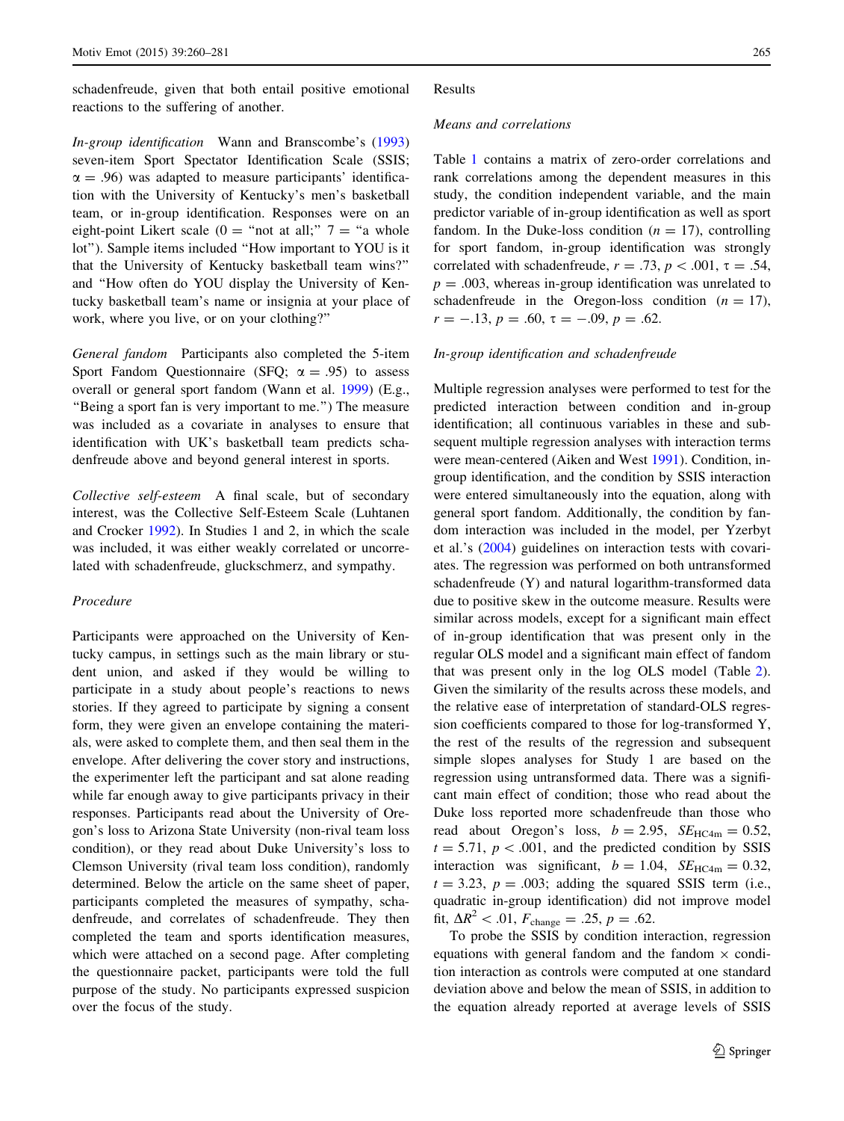schadenfreude, given that both entail positive emotional reactions to the suffering of another.

In-group identification Wann and Branscombe's ([1993\)](#page-20-0) seven-item Sport Spectator Identification Scale (SSIS;  $\alpha = .96$ ) was adapted to measure participants' identification with the University of Kentucky's men's basketball team, or in-group identification. Responses were on an eight-point Likert scale ( $0 =$  "not at all;"  $7 =$  "a whole lot''). Sample items included ''How important to YOU is it that the University of Kentucky basketball team wins?'' and ''How often do YOU display the University of Kentucky basketball team's name or insignia at your place of work, where you live, or on your clothing?''

General fandom Participants also completed the 5-item Sport Fandom Questionnaire (SFQ;  $\alpha = .95$ ) to assess overall or general sport fandom (Wann et al. [1999](#page-20-0)) (E.g., ''Being a sport fan is very important to me.'') The measure was included as a covariate in analyses to ensure that identification with UK's basketball team predicts schadenfreude above and beyond general interest in sports.

Collective self-esteem A final scale, but of secondary interest, was the Collective Self-Esteem Scale (Luhtanen and Crocker [1992](#page-20-0)). In Studies 1 and 2, in which the scale was included, it was either weakly correlated or uncorrelated with schadenfreude, gluckschmerz, and sympathy.

## Procedure

Participants were approached on the University of Kentucky campus, in settings such as the main library or student union, and asked if they would be willing to participate in a study about people's reactions to news stories. If they agreed to participate by signing a consent form, they were given an envelope containing the materials, were asked to complete them, and then seal them in the envelope. After delivering the cover story and instructions, the experimenter left the participant and sat alone reading while far enough away to give participants privacy in their responses. Participants read about the University of Oregon's loss to Arizona State University (non-rival team loss condition), or they read about Duke University's loss to Clemson University (rival team loss condition), randomly determined. Below the article on the same sheet of paper, participants completed the measures of sympathy, schadenfreude, and correlates of schadenfreude. They then completed the team and sports identification measures, which were attached on a second page. After completing the questionnaire packet, participants were told the full purpose of the study. No participants expressed suspicion over the focus of the study.

#### Results

#### Means and correlations

Table [1](#page-6-0) contains a matrix of zero-order correlations and rank correlations among the dependent measures in this study, the condition independent variable, and the main predictor variable of in-group identification as well as sport fandom. In the Duke-loss condition  $(n = 17)$ , controlling for sport fandom, in-group identification was strongly correlated with schadenfreude,  $r = .73$ ,  $p < .001$ ,  $\tau = .54$ ,  $p = .003$ , whereas in-group identification was unrelated to schadenfreude in the Oregon-loss condition  $(n = 17)$ ,  $r = -.13$ ,  $p = .60$ ,  $\tau = -.09$ ,  $p = .62$ .

#### In-group identification and schadenfreude

Multiple regression analyses were performed to test for the predicted interaction between condition and in-group identification; all continuous variables in these and subsequent multiple regression analyses with interaction terms were mean-centered (Aiken and West [1991\)](#page-19-0). Condition, ingroup identification, and the condition by SSIS interaction were entered simultaneously into the equation, along with general sport fandom. Additionally, the condition by fandom interaction was included in the model, per Yzerbyt et al.'s ([2004\)](#page-21-0) guidelines on interaction tests with covariates. The regression was performed on both untransformed schadenfreude (Y) and natural logarithm-transformed data due to positive skew in the outcome measure. Results were similar across models, except for a significant main effect of in-group identification that was present only in the regular OLS model and a significant main effect of fandom that was present only in the log OLS model (Table [2](#page-6-0)). Given the similarity of the results across these models, and the relative ease of interpretation of standard-OLS regression coefficients compared to those for log-transformed Y, the rest of the results of the regression and subsequent simple slopes analyses for Study 1 are based on the regression using untransformed data. There was a significant main effect of condition; those who read about the Duke loss reported more schadenfreude than those who read about Oregon's loss,  $b = 2.95$ ,  $SE_{HC4m} = 0.52$ ,  $t = 5.71$ ,  $p < .001$ , and the predicted condition by SSIS interaction was significant,  $b = 1.04$ ,  $SE_{HC4m} = 0.32$ ,  $t = 3.23$ ,  $p = .003$ ; adding the squared SSIS term (i.e., quadratic in-group identification) did not improve model fit,  $\Delta R^2 < .01$ ,  $F_{\text{change}} = .25$ ,  $p = .62$ .

To probe the SSIS by condition interaction, regression equations with general fandom and the fandom  $\times$  condition interaction as controls were computed at one standard deviation above and below the mean of SSIS, in addition to the equation already reported at average levels of SSIS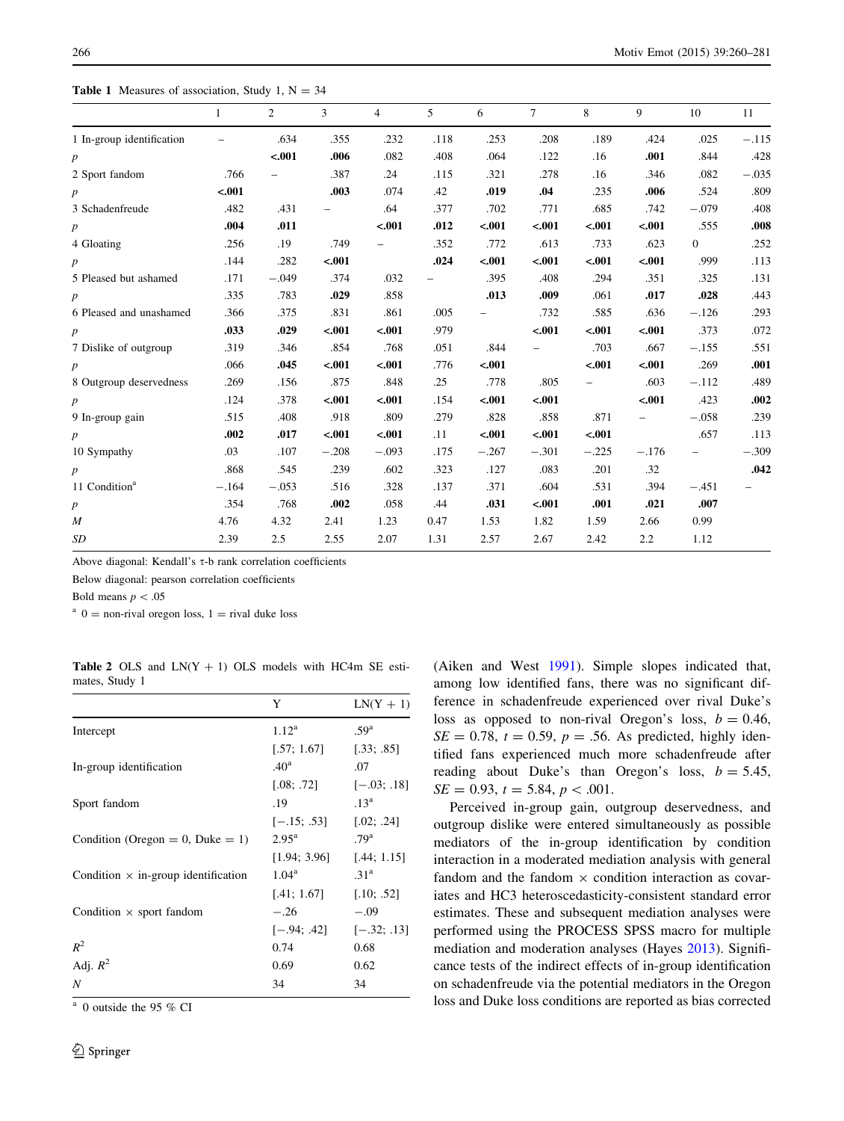#### <span id="page-6-0"></span>**Table 1** Measures of association, Study 1,  $N = 34$

|                           | 1       | 2       | 3       | $\overline{4}$ | 5    | 6       | $\tau$  | 8       | 9       | 10             | 11      |
|---------------------------|---------|---------|---------|----------------|------|---------|---------|---------|---------|----------------|---------|
| 1 In-group identification |         | .634    | .355    | .232           | .118 | .253    | .208    | .189    | .424    | .025           | $-.115$ |
| p                         |         | $-.001$ | .006    | .082           | .408 | .064    | .122    | .16     | .001    | .844           | .428    |
| 2 Sport fandom            | .766    |         | .387    | .24            | .115 | .321    | .278    | .16     | .346    | .082           | $-.035$ |
| p                         | $-.001$ |         | .003    | .074           | .42  | .019    | .04     | .235    | .006    | .524           | .809    |
| 3 Schadenfreude           | .482    | .431    |         | .64            | .377 | .702    | .771    | .685    | .742    | $-.079$        | .408    |
| p                         | .004    | .011    |         | $-.001$        | .012 | $-.001$ | $-.001$ | $-.001$ | $-.001$ | .555           | .008    |
| 4 Gloating                | .256    | .19     | .749    |                | .352 | .772    | .613    | .733    | .623    | $\overline{0}$ | .252    |
| p                         | .144    | .282    | $-.001$ |                | .024 | $-.001$ | $-.001$ | $-.001$ | $-.001$ | .999           | .113    |
| 5 Pleased but ashamed     | .171    | $-.049$ | .374    | .032           |      | .395    | .408    | .294    | .351    | .325           | .131    |
| p                         | .335    | .783    | .029    | .858           |      | .013    | .009    | .061    | .017    | .028           | .443    |
| 6 Pleased and unashamed   | .366    | .375    | .831    | .861           | .005 |         | .732    | .585    | .636    | $-.126$        | .293    |
| p                         | .033    | .029    | $-.001$ | $-.001$        | .979 |         | $-.001$ | $-.001$ | $-.001$ | .373           | .072    |
| 7 Dislike of outgroup     | .319    | .346    | .854    | .768           | .051 | .844    |         | .703    | .667    | $-.155$        | .551    |
| p                         | .066    | .045    | $-.001$ | $-.001$        | .776 | $-.001$ |         | $-.001$ | $-.001$ | .269           | .001    |
| 8 Outgroup deservedness   | .269    | .156    | .875    | .848           | .25  | .778    | .805    |         | .603    | $-.112$        | .489    |
| $\boldsymbol{p}$          | .124    | .378    | $-.001$ | $-.001$        | .154 | $-.001$ | $-.001$ |         | $-.001$ | .423           | .002    |
| 9 In-group gain           | .515    | .408    | .918    | .809           | .279 | .828    | .858    | .871    |         | $-.058$        | .239    |
| p                         | .002    | .017    | $-.001$ | $-.001$        | .11  | $-.001$ | $-.001$ | $-.001$ |         | .657           | .113    |
| 10 Sympathy               | .03     | .107    | $-.208$ | $-.093$        | .175 | $-.267$ | $-.301$ | $-.225$ | $-.176$ |                | $-.309$ |
| p                         | .868    | .545    | .239    | .602           | .323 | .127    | .083    | .201    | .32     |                | .042    |
| 11 Condition <sup>a</sup> | $-.164$ | $-.053$ | .516    | .328           | .137 | .371    | .604    | .531    | .394    | $-.451$        |         |
| p                         | .354    | .768    | .002    | .058           | .44  | .031    | $-.001$ | .001    | .021    | .007           |         |
| $\boldsymbol{M}$          | 4.76    | 4.32    | 2.41    | 1.23           | 0.47 | 1.53    | 1.82    | 1.59    | 2.66    | 0.99           |         |
| SD                        | 2.39    | 2.5     | 2.55    | 2.07           | 1.31 | 2.57    | 2.67    | 2.42    | 2.2     | 1.12           |         |

Above diagonal: Kendall's  $\tau$ -b rank correlation coefficients

Below diagonal: pearson correlation coefficients

Bold means  $p < .05$ 

<sup>a</sup> 0 = non-rival oregon loss, 1 = rival duke loss

Table 2 OLS and  $LN(Y + 1)$  OLS models with HC4m SE estimates, Study 1

|                                            | Y                | $LN(Y + 1)$      |
|--------------------------------------------|------------------|------------------|
| Intercept                                  | $1.12^a$         | .59 <sup>a</sup> |
|                                            | [.57; 1.67]      | [.33; .85]       |
| In-group identification                    | .40 <sup>a</sup> | .07              |
|                                            | [.08; .72]       | $[-.03; .18]$    |
| Sport fandom                               | .19              | .13 <sup>a</sup> |
|                                            | $[-.15; .53]$    | [.02; .24]       |
| Condition (Oregon = 0, Duke = 1)           | $2.95^{\rm a}$   | .79 <sup>a</sup> |
|                                            | [1.94; 3.96]     | [.44; 1.15]      |
| Condition $\times$ in-group identification | $1.04^a$         | .31 <sup>a</sup> |
|                                            | [.41; 1.67]      | [.10; .52]       |
| Condition $\times$ sport fandom            | $-.26$           | $-.09$           |
|                                            | $[-.94, .42]$    | $[-.32; .13]$    |
| $R^2$                                      | 0.74             | 0.68             |
| Adj. $R^2$                                 | 0.69             | 0.62             |
| N                                          | 34               | 34               |

 $a$  0 outside the 95 % CI

(Aiken and West [1991\)](#page-19-0). Simple slopes indicated that, among low identified fans, there was no significant difference in schadenfreude experienced over rival Duke's loss as opposed to non-rival Oregon's loss,  $b = 0.46$ ,  $SE = 0.78$ ,  $t = 0.59$ ,  $p = .56$ . As predicted, highly identified fans experienced much more schadenfreude after reading about Duke's than Oregon's loss,  $b = 5.45$ ,  $SE = 0.93$ ,  $t = 5.84$ ,  $p < .001$ .

Perceived in-group gain, outgroup deservedness, and outgroup dislike were entered simultaneously as possible mediators of the in-group identification by condition interaction in a moderated mediation analysis with general fandom and the fandom  $\times$  condition interaction as covariates and HC3 heteroscedasticity-consistent standard error estimates. These and subsequent mediation analyses were performed using the PROCESS SPSS macro for multiple mediation and moderation analyses (Hayes [2013](#page-20-0)). Significance tests of the indirect effects of in-group identification on schadenfreude via the potential mediators in the Oregon loss and Duke loss conditions are reported as bias corrected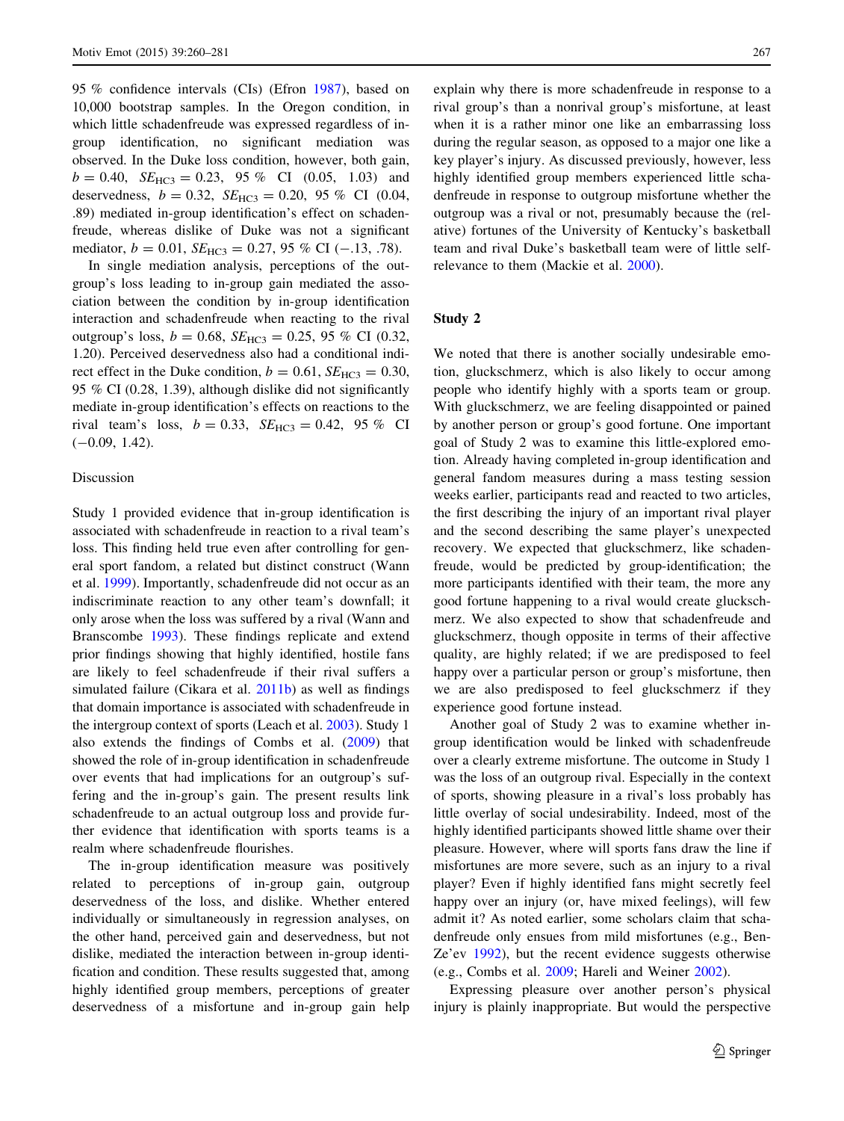95 % confidence intervals (CIs) (Efron [1987](#page-20-0)), based on 10,000 bootstrap samples. In the Oregon condition, in which little schadenfreude was expressed regardless of ingroup identification, no significant mediation was observed. In the Duke loss condition, however, both gain,  $b = 0.40$ ,  $SE_{HC3} = 0.23$ , 95 % CI (0.05, 1.03) and deservedness,  $b = 0.32$ ,  $SE_{HCl} = 0.20$ , 95 % CI (0.04, .89) mediated in-group identification's effect on schadenfreude, whereas dislike of Duke was not a significant mediator,  $b = 0.01$ ,  $SE_{HC3} = 0.27$ , 95 % CI (-.13, .78).

In single mediation analysis, perceptions of the outgroup's loss leading to in-group gain mediated the association between the condition by in-group identification interaction and schadenfreude when reacting to the rival outgroup's loss,  $b = 0.68$ ,  $SE_{HC3} = 0.25$ , 95 % CI (0.32, 1.20). Perceived deservedness also had a conditional indirect effect in the Duke condition,  $b = 0.61$ ,  $SE_{HC3} = 0.30$ , 95 % CI (0.28, 1.39), although dislike did not significantly mediate in-group identification's effects on reactions to the rival team's loss,  $b = 0.33$ ,  $SE_{HC3} = 0.42$ , 95 % CI  $(-0.09, 1.42)$ .

#### Discussion

Study 1 provided evidence that in-group identification is associated with schadenfreude in reaction to a rival team's loss. This finding held true even after controlling for general sport fandom, a related but distinct construct (Wann et al. [1999\)](#page-20-0). Importantly, schadenfreude did not occur as an indiscriminate reaction to any other team's downfall; it only arose when the loss was suffered by a rival (Wann and Branscombe [1993](#page-20-0)). These findings replicate and extend prior findings showing that highly identified, hostile fans are likely to feel schadenfreude if their rival suffers a simulated failure (Cikara et al. [2011b\)](#page-19-0) as well as findings that domain importance is associated with schadenfreude in the intergroup context of sports (Leach et al. [2003](#page-20-0)). Study 1 also extends the findings of Combs et al. ([2009\)](#page-20-0) that showed the role of in-group identification in schadenfreude over events that had implications for an outgroup's suffering and the in-group's gain. The present results link schadenfreude to an actual outgroup loss and provide further evidence that identification with sports teams is a realm where schadenfreude flourishes.

The in-group identification measure was positively related to perceptions of in-group gain, outgroup deservedness of the loss, and dislike. Whether entered individually or simultaneously in regression analyses, on the other hand, perceived gain and deservedness, but not dislike, mediated the interaction between in-group identification and condition. These results suggested that, among highly identified group members, perceptions of greater deservedness of a misfortune and in-group gain help explain why there is more schadenfreude in response to a rival group's than a nonrival group's misfortune, at least when it is a rather minor one like an embarrassing loss during the regular season, as opposed to a major one like a key player's injury. As discussed previously, however, less highly identified group members experienced little schadenfreude in response to outgroup misfortune whether the outgroup was a rival or not, presumably because the (relative) fortunes of the University of Kentucky's basketball team and rival Duke's basketball team were of little selfrelevance to them (Mackie et al. [2000\)](#page-20-0).

## Study 2

We noted that there is another socially undesirable emotion, gluckschmerz, which is also likely to occur among people who identify highly with a sports team or group. With gluckschmerz, we are feeling disappointed or pained by another person or group's good fortune. One important goal of Study 2 was to examine this little-explored emotion. Already having completed in-group identification and general fandom measures during a mass testing session weeks earlier, participants read and reacted to two articles, the first describing the injury of an important rival player and the second describing the same player's unexpected recovery. We expected that gluckschmerz, like schadenfreude, would be predicted by group-identification; the more participants identified with their team, the more any good fortune happening to a rival would create gluckschmerz. We also expected to show that schadenfreude and gluckschmerz, though opposite in terms of their affective quality, are highly related; if we are predisposed to feel happy over a particular person or group's misfortune, then we are also predisposed to feel gluckschmerz if they experience good fortune instead.

Another goal of Study 2 was to examine whether ingroup identification would be linked with schadenfreude over a clearly extreme misfortune. The outcome in Study 1 was the loss of an outgroup rival. Especially in the context of sports, showing pleasure in a rival's loss probably has little overlay of social undesirability. Indeed, most of the highly identified participants showed little shame over their pleasure. However, where will sports fans draw the line if misfortunes are more severe, such as an injury to a rival player? Even if highly identified fans might secretly feel happy over an injury (or, have mixed feelings), will few admit it? As noted earlier, some scholars claim that schadenfreude only ensues from mild misfortunes (e.g., Ben-Ze'ev [1992\)](#page-19-0), but the recent evidence suggests otherwise (e.g., Combs et al. [2009](#page-20-0); Hareli and Weiner [2002](#page-20-0)).

Expressing pleasure over another person's physical injury is plainly inappropriate. But would the perspective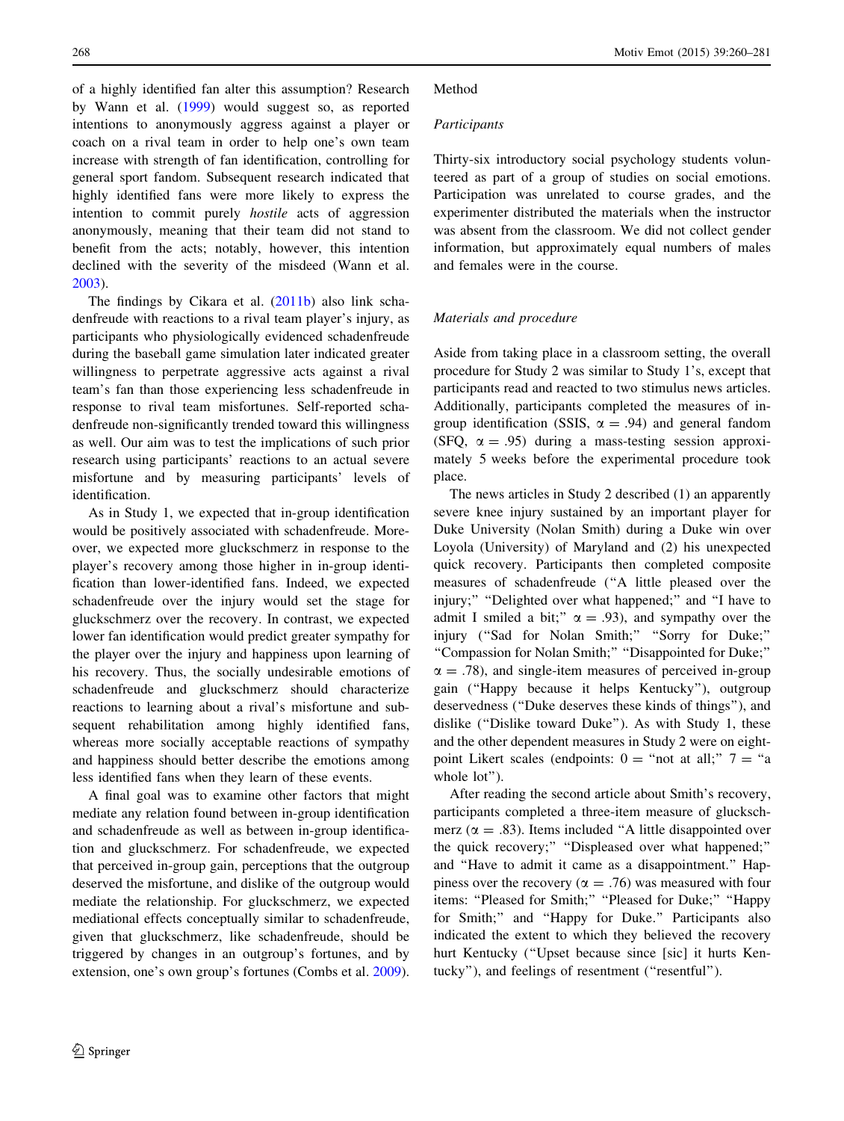of a highly identified fan alter this assumption? Research by Wann et al. ([1999\)](#page-20-0) would suggest so, as reported intentions to anonymously aggress against a player or coach on a rival team in order to help one's own team increase with strength of fan identification, controlling for general sport fandom. Subsequent research indicated that highly identified fans were more likely to express the intention to commit purely hostile acts of aggression anonymously, meaning that their team did not stand to benefit from the acts; notably, however, this intention declined with the severity of the misdeed (Wann et al. [2003\)](#page-21-0).

The findings by Cikara et al. [\(2011b](#page-19-0)) also link schadenfreude with reactions to a rival team player's injury, as participants who physiologically evidenced schadenfreude during the baseball game simulation later indicated greater willingness to perpetrate aggressive acts against a rival team's fan than those experiencing less schadenfreude in response to rival team misfortunes. Self-reported schadenfreude non-significantly trended toward this willingness as well. Our aim was to test the implications of such prior research using participants' reactions to an actual severe misfortune and by measuring participants' levels of identification.

As in Study 1, we expected that in-group identification would be positively associated with schadenfreude. Moreover, we expected more gluckschmerz in response to the player's recovery among those higher in in-group identification than lower-identified fans. Indeed, we expected schadenfreude over the injury would set the stage for gluckschmerz over the recovery. In contrast, we expected lower fan identification would predict greater sympathy for the player over the injury and happiness upon learning of his recovery. Thus, the socially undesirable emotions of schadenfreude and gluckschmerz should characterize reactions to learning about a rival's misfortune and subsequent rehabilitation among highly identified fans, whereas more socially acceptable reactions of sympathy and happiness should better describe the emotions among less identified fans when they learn of these events.

A final goal was to examine other factors that might mediate any relation found between in-group identification and schadenfreude as well as between in-group identification and gluckschmerz. For schadenfreude, we expected that perceived in-group gain, perceptions that the outgroup deserved the misfortune, and dislike of the outgroup would mediate the relationship. For gluckschmerz, we expected mediational effects conceptually similar to schadenfreude, given that gluckschmerz, like schadenfreude, should be triggered by changes in an outgroup's fortunes, and by extension, one's own group's fortunes (Combs et al. [2009](#page-20-0)). Method

## Participants

Thirty-six introductory social psychology students volunteered as part of a group of studies on social emotions. Participation was unrelated to course grades, and the experimenter distributed the materials when the instructor was absent from the classroom. We did not collect gender information, but approximately equal numbers of males and females were in the course.

# Materials and procedure

Aside from taking place in a classroom setting, the overall procedure for Study 2 was similar to Study 1's, except that participants read and reacted to two stimulus news articles. Additionally, participants completed the measures of ingroup identification (SSIS,  $\alpha = .94$ ) and general fandom (SFQ,  $\alpha = .95$ ) during a mass-testing session approximately 5 weeks before the experimental procedure took place.

The news articles in Study 2 described (1) an apparently severe knee injury sustained by an important player for Duke University (Nolan Smith) during a Duke win over Loyola (University) of Maryland and (2) his unexpected quick recovery. Participants then completed composite measures of schadenfreude (''A little pleased over the injury;" "Delighted over what happened;" and "I have to admit I smiled a bit;"  $\alpha = .93$ ), and sympathy over the injury ("Sad for Nolan Smith;" "Sorry for Duke;" ''Compassion for Nolan Smith;'' ''Disappointed for Duke;''  $\alpha = .78$ ), and single-item measures of perceived in-group gain (''Happy because it helps Kentucky''), outgroup deservedness (''Duke deserves these kinds of things''), and dislike (''Dislike toward Duke''). As with Study 1, these and the other dependent measures in Study 2 were on eightpoint Likert scales (endpoints:  $0 =$  "not at all;"  $7 =$  "a whole lot'').

After reading the second article about Smith's recovery, participants completed a three-item measure of gluckschmerz ( $\alpha = .83$ ). Items included "A little disappointed over the quick recovery;'' ''Displeased over what happened;'' and ''Have to admit it came as a disappointment.'' Happiness over the recovery ( $\alpha = .76$ ) was measured with four items: "Pleased for Smith;" "Pleased for Duke;" "Happy for Smith;'' and ''Happy for Duke.'' Participants also indicated the extent to which they believed the recovery hurt Kentucky (''Upset because since [sic] it hurts Kentucky''), and feelings of resentment (''resentful'').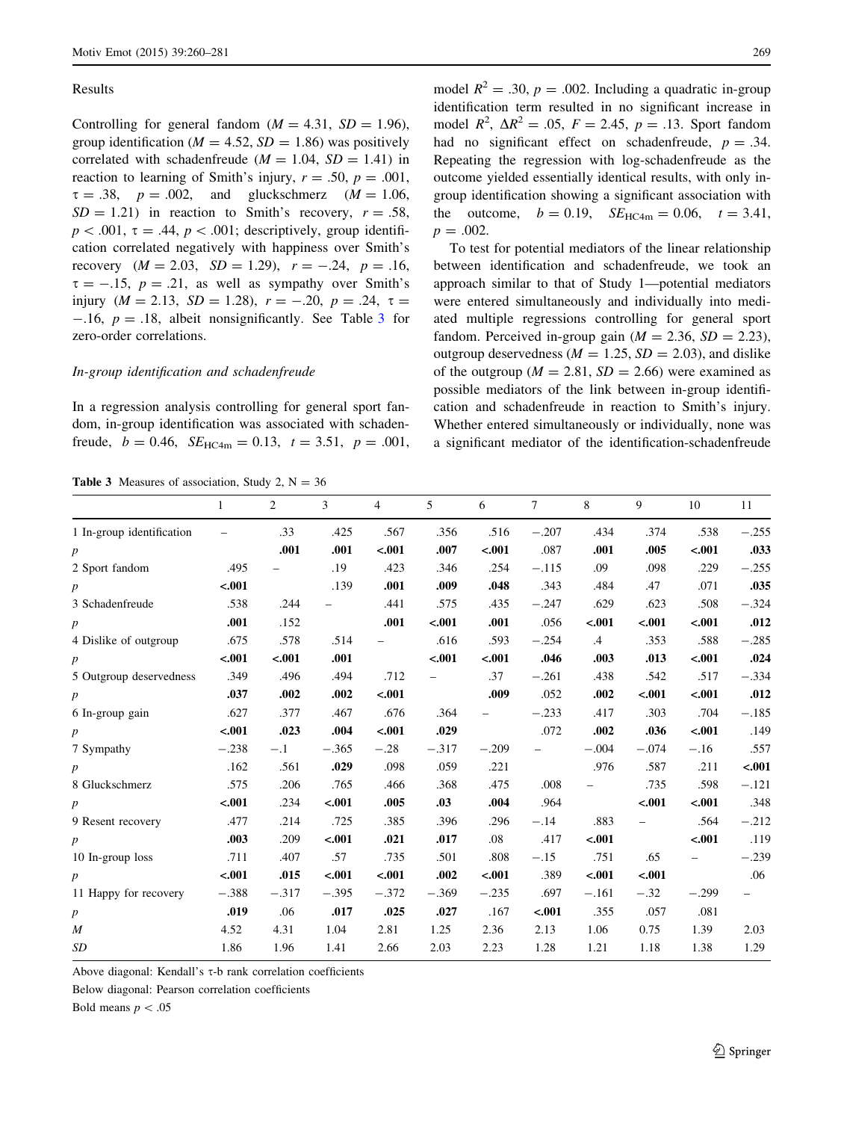#### Results

Controlling for general fandom ( $M = 4.31$ ,  $SD = 1.96$ ), group identification ( $M = 4.52$ ,  $SD = 1.86$ ) was positively correlated with schadenfreude ( $M = 1.04$ ,  $SD = 1.41$ ) in reaction to learning of Smith's injury,  $r = .50$ ,  $p = .001$ ,  $\tau = .38$ ,  $p = .002$ , and gluckschmerz  $(M = 1.06$ ,  $SD = 1.21$ ) in reaction to Smith's recovery,  $r = .58$ ,  $p\lt .001$ ,  $\tau = .44$ ,  $p\lt .001$ ; descriptively, group identification correlated negatively with happiness over Smith's recovery  $(M = 2.03, SD = 1.29), r = -.24, p = .16,$  $\tau = -.15$ ,  $p = .21$ , as well as sympathy over Smith's injury ( $M = 2.13$ ,  $SD = 1.28$ ),  $r = -.20$ ,  $p = .24$ ,  $\tau =$  $-.16$ ,  $p = .18$ , albeit nonsignificantly. See Table 3 for zero-order correlations.

#### In-group identification and schadenfreude

In a regression analysis controlling for general sport fandom, in-group identification was associated with schadenfreude,  $b = 0.46$ ,  $SE_{HC4m} = 0.13$ ,  $t = 3.51$ ,  $p = .001$ ,

**Table 3** Measures of association, Study 2,  $N = 36$ 

model  $R^2 = .30$ ,  $p = .002$ . Including a quadratic in-group identification term resulted in no significant increase in model  $R^2$ ,  $\Delta R^2 = .05$ ,  $F = 2.45$ ,  $p = .13$ . Sport fandom had no significant effect on schadenfreude,  $p = .34$ . Repeating the regression with log-schadenfreude as the outcome yielded essentially identical results, with only ingroup identification showing a significant association with the outcome,  $b = 0.19$ ,  $SE_{HC4m} = 0.06$ ,  $t = 3.41$ ,  $p = .002$ .

To test for potential mediators of the linear relationship between identification and schadenfreude, we took an approach similar to that of Study 1—potential mediators were entered simultaneously and individually into mediated multiple regressions controlling for general sport fandom. Perceived in-group gain ( $M = 2.36$ ,  $SD = 2.23$ ), outgroup deservedness ( $M = 1.25$ ,  $SD = 2.03$ ), and dislike of the outgroup ( $M = 2.81$ ,  $SD = 2.66$ ) were examined as possible mediators of the link between in-group identification and schadenfreude in reaction to Smith's injury. Whether entered simultaneously or individually, none was a significant mediator of the identification-schadenfreude

|                           | 1                        | 2       | 3       | 4       | 5       | 6       | 7       | 8                 | 9       | 10      | 11      |
|---------------------------|--------------------------|---------|---------|---------|---------|---------|---------|-------------------|---------|---------|---------|
| 1 In-group identification | $\overline{\phantom{0}}$ | .33     | .425    | .567    | .356    | .516    | $-.207$ | .434              | .374    | .538    | $-.255$ |
| $\boldsymbol{p}$          |                          | .001    | .001    | $-.001$ | .007    | $-.001$ | .087    | .001              | .005    | $-.001$ | .033    |
| 2 Sport fandom            | .495                     |         | .19     | .423    | .346    | .254    | $-.115$ | .09               | .098    | .229    | $-.255$ |
| $\boldsymbol{p}$          | $-.001$                  |         | .139    | .001    | .009    | .048    | .343    | .484              | .47     | .071    | .035    |
| 3 Schadenfreude           | .538                     | .244    |         | .441    | .575    | .435    | $-.247$ | .629              | .623    | .508    | $-.324$ |
| $\boldsymbol{p}$          | .001                     | .152    |         | .001    | $-.001$ | .001    | .056    | $-.001$           | $-.001$ | $-.001$ | .012    |
| 4 Dislike of outgroup     | .675                     | .578    | .514    |         | .616    | .593    | $-.254$ | $\mathcal{A}$     | .353    | .588    | $-.285$ |
| $\boldsymbol{p}$          | $-.001$                  | $-.001$ | .001    |         | $-.001$ | $-.001$ | .046    | .003              | .013    | $-.001$ | .024    |
| 5 Outgroup deservedness   | .349                     | .496    | .494    | .712    |         | .37     | $-.261$ | .438              | .542    | .517    | $-.334$ |
| $\boldsymbol{p}$          | .037                     | .002    | .002    | $-.001$ |         | .009    | .052    | .002              | $-.001$ | $-.001$ | .012    |
| 6 In-group gain           | .627                     | .377    | .467    | .676    | .364    |         | $-.233$ | .417              | .303    | .704    | $-.185$ |
| $\boldsymbol{p}$          | $-.001$                  | .023    | .004    | $-.001$ | .029    |         | .072    | .002              | .036    | $-.001$ | .149    |
| 7 Sympathy                | $-.238$                  | $-.1$   | $-.365$ | $-.28$  | $-.317$ | $-.209$ |         | $-.004$           | $-.074$ | $-.16$  | .557    |
| $\boldsymbol{p}$          | .162                     | .561    | .029    | .098    | .059    | .221    |         | .976              | .587    | .211    | $-.001$ |
| 8 Gluckschmerz            | .575                     | .206    | .765    | .466    | .368    | .475    | .008    | $\qquad \qquad -$ | .735    | .598    | $-.121$ |
| $\boldsymbol{p}$          | $-.001$                  | .234    | $-.001$ | .005    | .03     | .004    | .964    |                   | $-.001$ | $-.001$ | .348    |
| 9 Resent recovery         | .477                     | .214    | .725    | .385    | .396    | .296    | $-.14$  | .883              |         | .564    | $-.212$ |
| $\boldsymbol{p}$          | .003                     | .209    | $-.001$ | .021    | .017    | .08     | .417    | $-.001$           |         | $-.001$ | .119    |
| 10 In-group loss          | .711                     | .407    | .57     | .735    | .501    | .808    | $-.15$  | .751              | .65     |         | $-.239$ |
| $\boldsymbol{p}$          | $-.001$                  | .015    | $-.001$ | $-.001$ | .002    | $-.001$ | .389    | $-.001$           | $-.001$ |         | .06     |
| 11 Happy for recovery     | $-.388$                  | $-.317$ | $-.395$ | $-.372$ | $-.369$ | $-.235$ | .697    | $-.161$           | $-.32$  | $-.299$ |         |
| $\boldsymbol{p}$          | .019                     | .06     | .017    | .025    | .027    | .167    | $-.001$ | .355              | .057    | .081    |         |
| $\boldsymbol{M}$          | 4.52                     | 4.31    | 1.04    | 2.81    | 1.25    | 2.36    | 2.13    | 1.06              | 0.75    | 1.39    | 2.03    |
| <b>SD</b>                 | 1.86                     | 1.96    | 1.41    | 2.66    | 2.03    | 2.23    | 1.28    | 1.21              | 1.18    | 1.38    | 1.29    |

Above diagonal: Kendall's  $\tau$ -b rank correlation coefficients

Below diagonal: Pearson correlation coefficients

Bold means  $p < 0.05$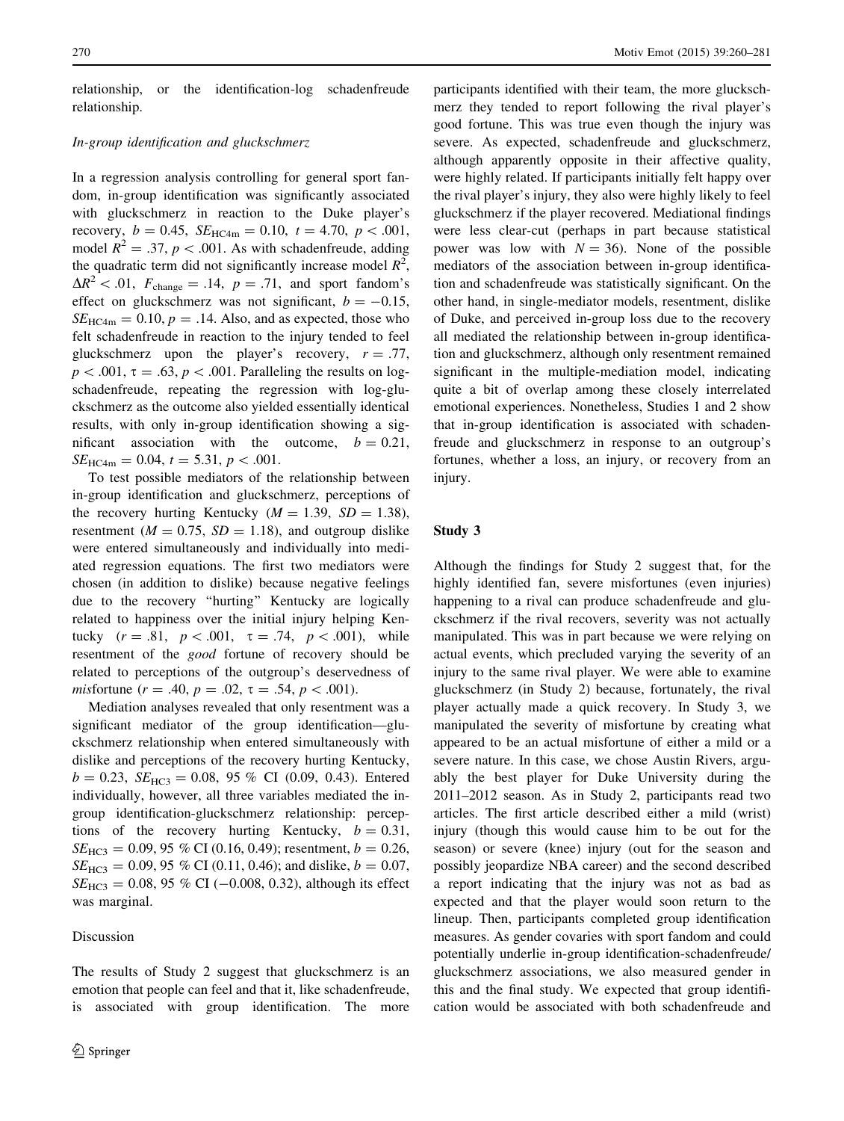relationship, or the identification-log schadenfreude relationship.

## In-group identification and gluckschmerz

In a regression analysis controlling for general sport fandom, in-group identification was significantly associated with gluckschmerz in reaction to the Duke player's recovery,  $b = 0.45$ ,  $SE_{HC4m} = 0.10$ ,  $t = 4.70$ ,  $p < .001$ , model  $R^2 = .37$ ,  $p < .001$ . As with schadenfreude, adding the quadratic term did not significantly increase model  $R^2$ ,  $\Delta R^2$  < .01,  $F_{\text{change}} = .14$ ,  $p = .71$ , and sport fandom's effect on gluckschmerz was not significant,  $b = -0.15$ ,  $SE_{\text{HC4m}} = 0.10, p = .14$ . Also, and as expected, those who felt schadenfreude in reaction to the injury tended to feel gluckschmerz upon the player's recovery,  $r = .77$ ,  $p$  < .001,  $\tau = .63$ ,  $p$  < .001. Paralleling the results on logschadenfreude, repeating the regression with log-gluckschmerz as the outcome also yielded essentially identical results, with only in-group identification showing a significant association with the outcome,  $b = 0.21$ ,  $SE_{HC4m} = 0.04$ ,  $t = 5.31$ ,  $p < .001$ .

To test possible mediators of the relationship between in-group identification and gluckschmerz, perceptions of the recovery hurting Kentucky ( $M = 1.39$ ,  $SD = 1.38$ ), resentment ( $M = 0.75$ ,  $SD = 1.18$ ), and outgroup dislike were entered simultaneously and individually into mediated regression equations. The first two mediators were chosen (in addition to dislike) because negative feelings due to the recovery ''hurting'' Kentucky are logically related to happiness over the initial injury helping Kentucky  $(r = .81, p < .001, \tau = .74, p < .001)$ , while resentment of the good fortune of recovery should be related to perceptions of the outgroup's deservedness of misfortune ( $r = .40$ ,  $p = .02$ ,  $\tau = .54$ ,  $p < .001$ ).

Mediation analyses revealed that only resentment was a significant mediator of the group identification—gluckschmerz relationship when entered simultaneously with dislike and perceptions of the recovery hurting Kentucky,  $b = 0.23$ ,  $SE_{HC3} = 0.08$ , 95 % CI (0.09, 0.43). Entered individually, however, all three variables mediated the ingroup identification-gluckschmerz relationship: perceptions of the recovery hurting Kentucky,  $b = 0.31$ ,  $SE_{HC3} = 0.09, 95\%$  CI (0.16, 0.49); resentment,  $b = 0.26$ ,  $SE_{HC3} = 0.09, 95\%$  CI (0.11, 0.46); and dislike,  $b = 0.07$ ,  $SE_{HC3} = 0.08, 95\% \text{ CI } (-0.008, 0.32),$  although its effect was marginal.

#### Discussion

The results of Study 2 suggest that gluckschmerz is an emotion that people can feel and that it, like schadenfreude, is associated with group identification. The more

participants identified with their team, the more gluckschmerz they tended to report following the rival player's good fortune. This was true even though the injury was severe. As expected, schadenfreude and gluckschmerz, although apparently opposite in their affective quality, were highly related. If participants initially felt happy over the rival player's injury, they also were highly likely to feel gluckschmerz if the player recovered. Mediational findings were less clear-cut (perhaps in part because statistical power was low with  $N = 36$ ). None of the possible mediators of the association between in-group identification and schadenfreude was statistically significant. On the other hand, in single-mediator models, resentment, dislike of Duke, and perceived in-group loss due to the recovery all mediated the relationship between in-group identification and gluckschmerz, although only resentment remained significant in the multiple-mediation model, indicating quite a bit of overlap among these closely interrelated emotional experiences. Nonetheless, Studies 1 and 2 show that in-group identification is associated with schadenfreude and gluckschmerz in response to an outgroup's fortunes, whether a loss, an injury, or recovery from an injury.

## Study 3

Although the findings for Study 2 suggest that, for the highly identified fan, severe misfortunes (even injuries) happening to a rival can produce schadenfreude and gluckschmerz if the rival recovers, severity was not actually manipulated. This was in part because we were relying on actual events, which precluded varying the severity of an injury to the same rival player. We were able to examine gluckschmerz (in Study 2) because, fortunately, the rival player actually made a quick recovery. In Study 3, we manipulated the severity of misfortune by creating what appeared to be an actual misfortune of either a mild or a severe nature. In this case, we chose Austin Rivers, arguably the best player for Duke University during the 2011–2012 season. As in Study 2, participants read two articles. The first article described either a mild (wrist) injury (though this would cause him to be out for the season) or severe (knee) injury (out for the season and possibly jeopardize NBA career) and the second described a report indicating that the injury was not as bad as expected and that the player would soon return to the lineup. Then, participants completed group identification measures. As gender covaries with sport fandom and could potentially underlie in-group identification-schadenfreude/ gluckschmerz associations, we also measured gender in this and the final study. We expected that group identification would be associated with both schadenfreude and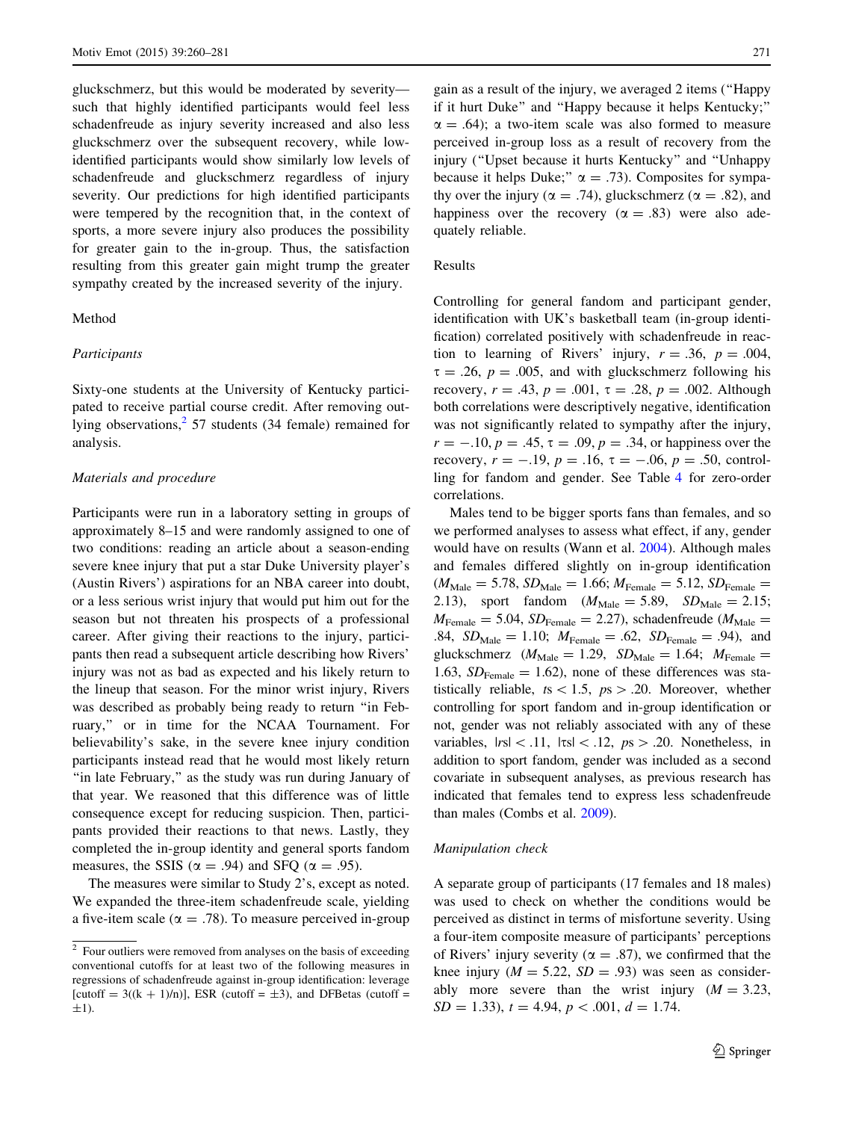gluckschmerz, but this would be moderated by severity such that highly identified participants would feel less schadenfreude as injury severity increased and also less gluckschmerz over the subsequent recovery, while lowidentified participants would show similarly low levels of schadenfreude and gluckschmerz regardless of injury severity. Our predictions for high identified participants were tempered by the recognition that, in the context of sports, a more severe injury also produces the possibility for greater gain to the in-group. Thus, the satisfaction resulting from this greater gain might trump the greater sympathy created by the increased severity of the injury.

## Method

# Participants

Sixty-one students at the University of Kentucky participated to receive partial course credit. After removing outlying observations, $257$  students (34 female) remained for analysis.

## Materials and procedure

Participants were run in a laboratory setting in groups of approximately 8–15 and were randomly assigned to one of two conditions: reading an article about a season-ending severe knee injury that put a star Duke University player's (Austin Rivers') aspirations for an NBA career into doubt, or a less serious wrist injury that would put him out for the season but not threaten his prospects of a professional career. After giving their reactions to the injury, participants then read a subsequent article describing how Rivers' injury was not as bad as expected and his likely return to the lineup that season. For the minor wrist injury, Rivers was described as probably being ready to return ''in February,'' or in time for the NCAA Tournament. For believability's sake, in the severe knee injury condition participants instead read that he would most likely return "in late February," as the study was run during January of that year. We reasoned that this difference was of little consequence except for reducing suspicion. Then, participants provided their reactions to that news. Lastly, they completed the in-group identity and general sports fandom measures, the SSIS ( $\alpha = .94$ ) and SFQ ( $\alpha = .95$ ).

The measures were similar to Study 2's, except as noted. We expanded the three-item schadenfreude scale, yielding a five-item scale ( $\alpha = .78$ ). To measure perceived in-group gain as a result of the injury, we averaged 2 items (''Happy if it hurt Duke'' and ''Happy because it helps Kentucky;''  $\alpha = .64$ ; a two-item scale was also formed to measure perceived in-group loss as a result of recovery from the injury (''Upset because it hurts Kentucky'' and ''Unhappy because it helps Duke;"  $\alpha = .73$ ). Composites for sympathy over the injury ( $\alpha = .74$ ), gluckschmerz ( $\alpha = .82$ ), and happiness over the recovery ( $\alpha = .83$ ) were also adequately reliable.

## Results

Controlling for general fandom and participant gender, identification with UK's basketball team (in-group identification) correlated positively with schadenfreude in reaction to learning of Rivers' injury,  $r = .36$ ,  $p = .004$ ,  $\tau = .26$ ,  $p = .005$ , and with gluckschmerz following his recovery,  $r = .43$ ,  $p = .001$ ,  $\tau = .28$ ,  $p = .002$ . Although both correlations were descriptively negative, identification was not significantly related to sympathy after the injury,  $r = -.10, p = .45, \tau = .09, p = .34$ , or happiness over the recovery,  $r = -.19$ ,  $p = .16$ ,  $\tau = -.06$ ,  $p = .50$ , controlling for fandom and gender. See Table [4](#page-12-0) for zero-order correlations.

Males tend to be bigger sports fans than females, and so we performed analyses to assess what effect, if any, gender would have on results (Wann et al. [2004](#page-21-0)). Although males and females differed slightly on in-group identification  $(M_{\text{Male}} = 5.78, SD_{\text{Male}} = 1.66; M_{\text{Female}} = 5.12, SD_{\text{Female}} =$ 2.13), sport fandom  $(M_{\text{Male}} = 5.89, SD_{\text{Male}} = 2.15;$  $M_{\text{Female}} = 5.04$ ,  $SD_{\text{Female}} = 2.27$ ), schadenfreude ( $M_{\text{Male}} =$ .84,  $SD_{Male} = 1.10$ ;  $M_{Female} = .62$ ,  $SD_{Female} = .94$ ), and gluckschmerz ( $M_{\text{Male}} = 1.29$ ,  $SD_{\text{Male}} = 1.64$ ;  $M_{\text{Female}} =$ 1.63,  $SD_{\text{Female}} = 1.62$ ), none of these differences was statistically reliable,  $ts < 1.5$ ,  $ps > .20$ . Moreover, whether controlling for sport fandom and in-group identification or not, gender was not reliably associated with any of these variables,  $|rs| < .11$ ,  $|\tau s| < .12$ ,  $p s > .20$ . Nonetheless, in addition to sport fandom, gender was included as a second covariate in subsequent analyses, as previous research has indicated that females tend to express less schadenfreude than males (Combs et al. [2009\)](#page-20-0).

## Manipulation check

A separate group of participants (17 females and 18 males) was used to check on whether the conditions would be perceived as distinct in terms of misfortune severity. Using a four-item composite measure of participants' perceptions of Rivers' injury severity ( $\alpha = .87$ ), we confirmed that the knee injury ( $M = 5.22$ ,  $SD = .93$ ) was seen as considerably more severe than the wrist injury  $(M = 3.23,$  $SD = 1.33$ ,  $t = 4.94$ ,  $p < .001$ ,  $d = 1.74$ .

 $\sqrt[2]{2}$  Four outliers were removed from analyses on the basis of exceeding conventional cutoffs for at least two of the following measures in regressions of schadenfreude against in-group identification: leverage [cutoff =  $3((k + 1)/n)$ ], ESR (cutoff =  $\pm 3$ ), and DFBetas (cutoff =  $\pm 1$ ).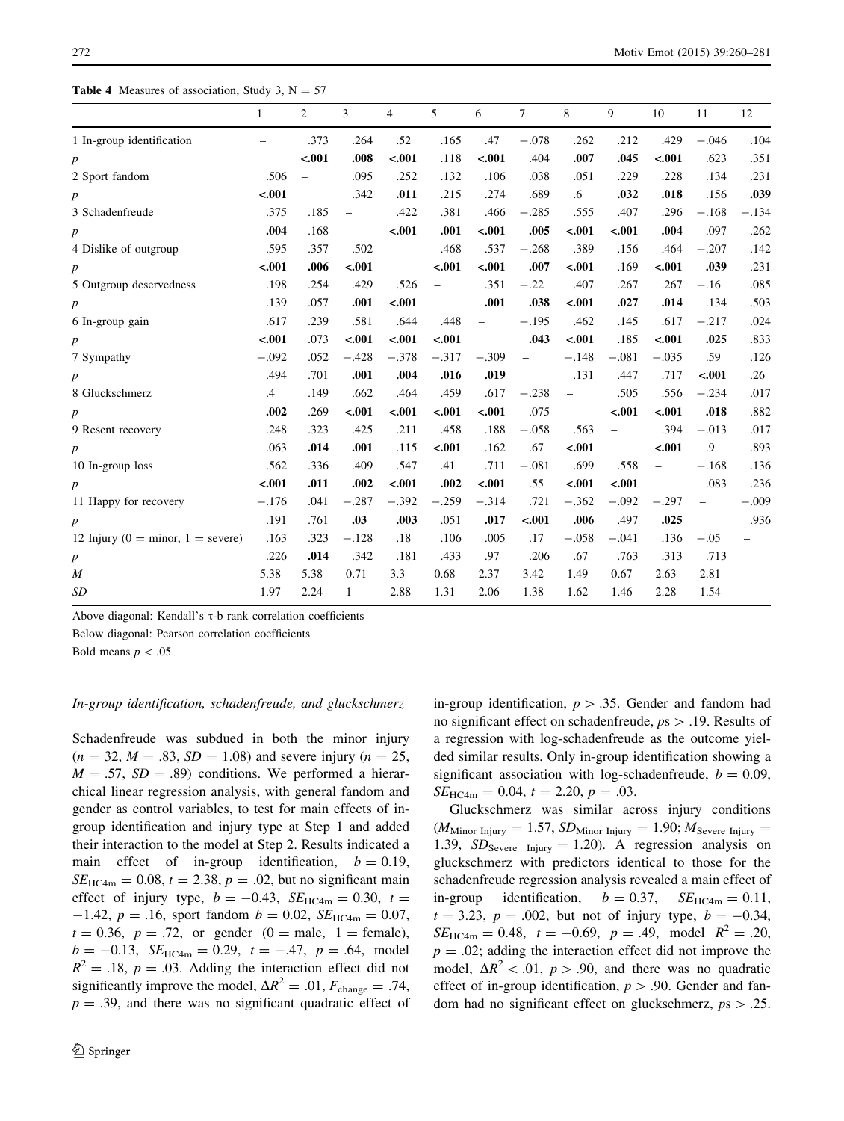## <span id="page-12-0"></span>**Table 4** Measures of association, Study 3,  $N = 57$

|                                   | $\mathbf{1}$ | $\sqrt{2}$ | 3                        | $\overline{4}$ | 5                        | 6       | $\tau$  | 8                        | 9                        | 10                       | 11                       | 12      |
|-----------------------------------|--------------|------------|--------------------------|----------------|--------------------------|---------|---------|--------------------------|--------------------------|--------------------------|--------------------------|---------|
| 1 In-group identification         |              | .373       | .264                     | .52            | .165                     | .47     | $-.078$ | .262                     | .212                     | .429                     | $-.046$                  | .104    |
| p                                 |              | $-.001$    | .008                     | $-.001$        | .118                     | $-.001$ | .404    | .007                     | .045                     | $-.001$                  | .623                     | .351    |
| 2 Sport fandom                    | .506         | -          | .095                     | .252           | .132                     | .106    | .038    | .051                     | .229                     | .228                     | .134                     | .231    |
| p                                 | $-.001$      |            | .342                     | .011           | .215                     | .274    | .689    | .6                       | .032                     | .018                     | .156                     | .039    |
| 3 Schadenfreude                   | .375         | .185       | $\overline{\phantom{0}}$ | .422           | .381                     | .466    | $-.285$ | .555                     | .407                     | .296                     | $-.168$                  | $-.134$ |
| $\boldsymbol{p}$                  | .004         | .168       |                          | $-.001$        | .001                     | $-.001$ | .005    | $-.001$                  | $-.001$                  | .004                     | .097                     | .262    |
| 4 Dislike of outgroup             | .595         | .357       | .502                     |                | .468                     | .537    | $-.268$ | .389                     | .156                     | .464                     | $-.207$                  | .142    |
| p                                 | $-.001$      | .006       | $-.001$                  |                | $-.001$                  | $-.001$ | .007    | $-.001$                  | .169                     | $-.001$                  | .039                     | .231    |
| 5 Outgroup deservedness           | .198         | .254       | .429                     | .526           | $\overline{\phantom{0}}$ | .351    | $-.22$  | .407                     | .267                     | .267                     | $-.16$                   | .085    |
| р                                 | .139         | .057       | .001                     | $-.001$        |                          | .001    | .038    | $-.001$                  | .027                     | .014                     | .134                     | .503    |
| 6 In-group gain                   | .617         | .239       | .581                     | .644           | .448                     |         | $-.195$ | .462                     | .145                     | .617                     | $-.217$                  | .024    |
| $\boldsymbol{p}$                  | $-.001$      | .073       | $-.001$                  | $-.001$        | $-.001$                  |         | .043    | $-.001$                  | .185                     | $-.001$                  | .025                     | .833    |
| 7 Sympathy                        | $-.092$      | .052       | $-.428$                  | $-.378$        | $-.317$                  | $-.309$ |         | $-.148$                  | $-.081$                  | $-.035$                  | .59                      | .126    |
| р                                 | .494         | .701       | .001                     | .004           | .016                     | .019    |         | .131                     | .447                     | .717                     | $-.001$                  | .26     |
| 8 Gluckschmerz                    | $\cdot$      | .149       | .662                     | .464           | .459                     | .617    | $-.238$ | $\overline{\phantom{0}}$ | .505                     | .556                     | $-.234$                  | .017    |
| p                                 | .002         | .269       | $-.001$                  | $-.001$        | $-.001$                  | $-.001$ | .075    |                          | $-.001$                  | $-.001$                  | .018                     | .882    |
| 9 Resent recovery                 | .248         | .323       | .425                     | .211           | .458                     | .188    | $-.058$ | .563                     | $\overline{\phantom{0}}$ | .394                     | $-.013$                  | .017    |
| p                                 | .063         | .014       | .001                     | .115           | $-.001$                  | .162    | .67     | $-.001$                  |                          | $-.001$                  | .9                       | .893    |
| 10 In-group loss                  | .562         | .336       | .409                     | .547           | .41                      | .711    | $-.081$ | .699                     | .558                     | $\overline{\phantom{0}}$ | $-.168$                  | .136    |
| р                                 | $-.001$      | .011       | .002                     | $-.001$        | .002                     | $-.001$ | .55     | $-.001$                  | $-.001$                  |                          | .083                     | .236    |
| 11 Happy for recovery             | $-.176$      | .041       | $-.287$                  | $-.392$        | $-.259$                  | $-.314$ | .721    | $-.362$                  | $-.092$                  | $-.297$                  | $\overline{\phantom{0}}$ | $-.009$ |
| p                                 | .191         | .761       | .03                      | .003           | .051                     | .017    | $-.001$ | .006                     | .497                     | .025                     |                          | .936    |
| 12 Injury (0 = minor, 1 = severe) | .163         | .323       | $-.128$                  | .18            | .106                     | .005    | .17     | $-.058$                  | $-.041$                  | .136                     | $-.05$                   |         |
| $\boldsymbol{p}$                  | .226         | .014       | .342                     | .181           | .433                     | .97     | .206    | .67                      | .763                     | .313                     | .713                     |         |
| M                                 | 5.38         | 5.38       | 0.71                     | 3.3            | 0.68                     | 2.37    | 3.42    | 1.49                     | 0.67                     | 2.63                     | 2.81                     |         |
| SD                                | 1.97         | 2.24       | 1                        | 2.88           | 1.31                     | 2.06    | 1.38    | 1.62                     | 1.46                     | 2.28                     | 1.54                     |         |

Above diagonal: Kendall's  $\tau$ -b rank correlation coefficients

Below diagonal: Pearson correlation coefficients

Bold means  $p < .05$ 

## In-group identification, schadenfreude, and gluckschmerz

Schadenfreude was subdued in both the minor injury  $(n = 32, M = .83, SD = 1.08)$  and severe injury  $(n = 25,$  $M = .57$ ,  $SD = .89$ ) conditions. We performed a hierarchical linear regression analysis, with general fandom and gender as control variables, to test for main effects of ingroup identification and injury type at Step 1 and added their interaction to the model at Step 2. Results indicated a main effect of in-group identification,  $b = 0.19$ ,  $SE_{\text{HC4m}} = 0.08, t = 2.38, p = .02$ , but no significant main effect of injury type,  $b = -0.43$ ,  $SE_{HC4m} = 0.30$ ,  $t =$  $-1.42$ ,  $p = .16$ , sport fandom  $b = 0.02$ ,  $SE_{HC4m} = 0.07$ ,  $t = 0.36, p = .72,$  or gender  $(0 = \text{male}, 1 = \text{female}),$  $b = -0.13$ ,  $SE_{HC4m} = 0.29$ ,  $t = -.47$ ,  $p = .64$ , model  $R^2 = .18$ ,  $p = .03$ . Adding the interaction effect did not significantly improve the model,  $\Delta R^2 = .01$ ,  $F_{\text{change}} = .74$ ,  $p = .39$ , and there was no significant quadratic effect of

in-group identification,  $p > .35$ . Gender and fandom had no significant effect on schadenfreude,  $ps > .19$ . Results of a regression with log-schadenfreude as the outcome yielded similar results. Only in-group identification showing a significant association with log-schadenfreude,  $b = 0.09$ ,  $SE_{\text{HC4m}} = 0.04, t = 2.20, p = .03.$ 

Gluckschmerz was similar across injury conditions  $(M_{\text{Minor Injury}} = 1.57, SD_{\text{Minor Injury}} = 1.90; M_{\text{Severe Injury}} =$ 1.39,  $SD_{Severe Injury} = 1.20$ . A regression analysis on gluckschmerz with predictors identical to those for the schadenfreude regression analysis revealed a main effect of in-group identification,  $b = 0.37$ ,  $SE_{HC4m} = 0.11$ ,  $t = 3.23, p = .002$ , but not of injury type,  $b = -0.34$ ,  $SE_{\text{HC4m}} = 0.48, t = -0.69, p = .49, \text{ model } R^2 = .20,$  $p = .02$ ; adding the interaction effect did not improve the model,  $\Delta R^2$  < .01, p > .90, and there was no quadratic effect of in-group identification,  $p > .90$ . Gender and fandom had no significant effect on gluckschmerz,  $ps > .25$ .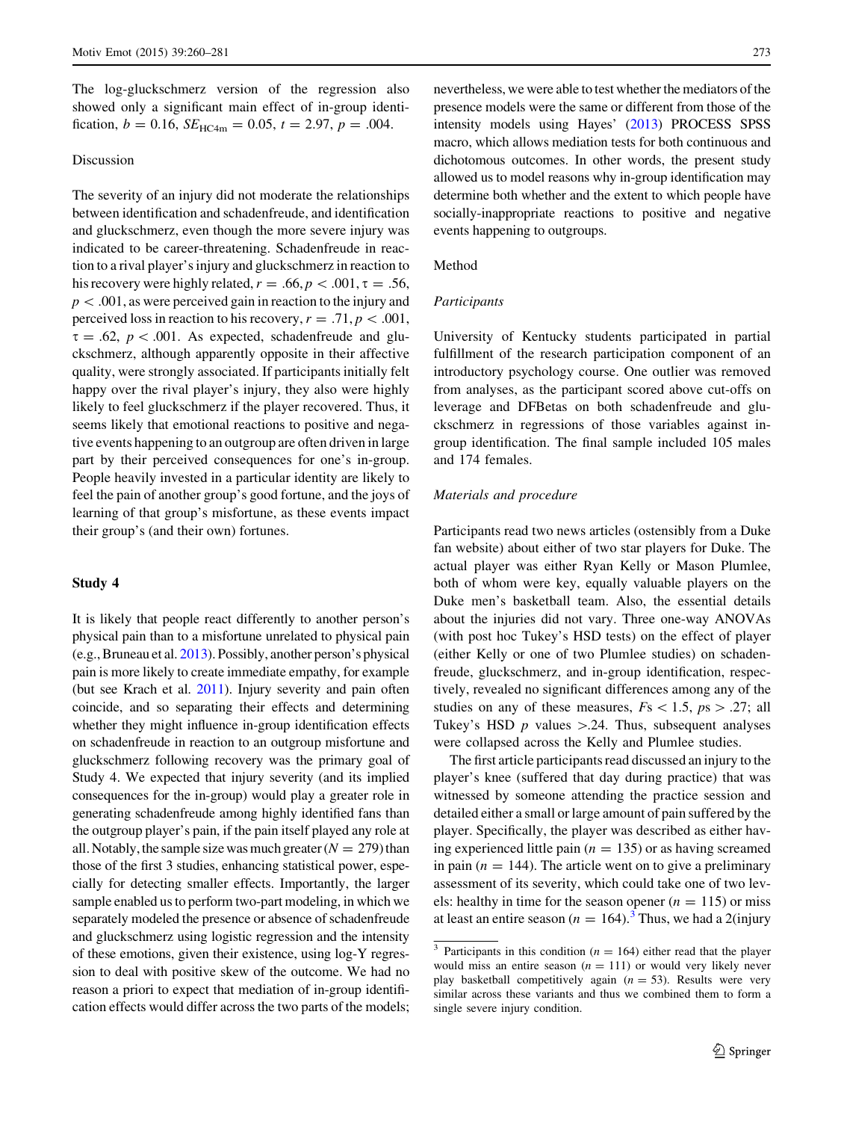The log-gluckschmerz version of the regression also showed only a significant main effect of in-group identification,  $b = 0.16$ ,  $SE_{HC4m} = 0.05$ ,  $t = 2.97$ ,  $p = .004$ .

## Discussion

The severity of an injury did not moderate the relationships between identification and schadenfreude, and identification and gluckschmerz, even though the more severe injury was indicated to be career-threatening. Schadenfreude in reaction to a rival player's injury and gluckschmerz in reaction to his recovery were highly related,  $r = .66$ ,  $p < .001$ ,  $\tau = .56$ ,  $p\lt 0.001$ , as were perceived gain in reaction to the injury and perceived loss in reaction to his recovery,  $r = .71$ ,  $p < .001$ ,  $\tau = .62, p < .001$ . As expected, schadenfreude and gluckschmerz, although apparently opposite in their affective quality, were strongly associated. If participants initially felt happy over the rival player's injury, they also were highly likely to feel gluckschmerz if the player recovered. Thus, it seems likely that emotional reactions to positive and negative events happening to an outgroup are often driven in large part by their perceived consequences for one's in-group. People heavily invested in a particular identity are likely to feel the pain of another group's good fortune, and the joys of learning of that group's misfortune, as these events impact their group's (and their own) fortunes.

#### Study 4

It is likely that people react differently to another person's physical pain than to a misfortune unrelated to physical pain (e.g., Bruneau et al. [2013\)](#page-19-0). Possibly, another person's physical pain is more likely to create immediate empathy, for example (but see Krach et al. [2011](#page-20-0)). Injury severity and pain often coincide, and so separating their effects and determining whether they might influence in-group identification effects on schadenfreude in reaction to an outgroup misfortune and gluckschmerz following recovery was the primary goal of Study 4. We expected that injury severity (and its implied consequences for the in-group) would play a greater role in generating schadenfreude among highly identified fans than the outgroup player's pain, if the pain itself played any role at all. Notably, the sample size was much greater ( $N = 279$ ) than those of the first 3 studies, enhancing statistical power, especially for detecting smaller effects. Importantly, the larger sample enabled us to perform two-part modeling, in which we separately modeled the presence or absence of schadenfreude and gluckschmerz using logistic regression and the intensity of these emotions, given their existence, using log-Y regression to deal with positive skew of the outcome. We had no reason a priori to expect that mediation of in-group identification effects would differ across the two parts of the models; nevertheless, we were able to test whether the mediators of the presence models were the same or different from those of the intensity models using Hayes' ([2013](#page-20-0)) PROCESS SPSS macro, which allows mediation tests for both continuous and dichotomous outcomes. In other words, the present study allowed us to model reasons why in-group identification may determine both whether and the extent to which people have socially-inappropriate reactions to positive and negative events happening to outgroups.

#### Method

#### Participants

University of Kentucky students participated in partial fulfillment of the research participation component of an introductory psychology course. One outlier was removed from analyses, as the participant scored above cut-offs on leverage and DFBetas on both schadenfreude and gluckschmerz in regressions of those variables against ingroup identification. The final sample included 105 males and 174 females.

#### Materials and procedure

Participants read two news articles (ostensibly from a Duke fan website) about either of two star players for Duke. The actual player was either Ryan Kelly or Mason Plumlee, both of whom were key, equally valuable players on the Duke men's basketball team. Also, the essential details about the injuries did not vary. Three one-way ANOVAs (with post hoc Tukey's HSD tests) on the effect of player (either Kelly or one of two Plumlee studies) on schadenfreude, gluckschmerz, and in-group identification, respectively, revealed no significant differences among any of the studies on any of these measures,  $Fs < 1.5$ ,  $ps > .27$ ; all Tukey's HSD  $p$  values  $> 0.24$ . Thus, subsequent analyses were collapsed across the Kelly and Plumlee studies.

The first article participants read discussed an injury to the player's knee (suffered that day during practice) that was witnessed by someone attending the practice session and detailed either a small or large amount of pain suffered by the player. Specifically, the player was described as either having experienced little pain ( $n = 135$ ) or as having screamed in pain ( $n = 144$ ). The article went on to give a preliminary assessment of its severity, which could take one of two levels: healthy in time for the season opener ( $n = 115$ ) or miss at least an entire season ( $n = 164$ ).<sup>3</sup> Thus, we had a 2(injury

 $\frac{3}{3}$  Participants in this condition (n = 164) either read that the player would miss an entire season  $(n = 111)$  or would very likely never play basketball competitively again  $(n = 53)$ . Results were very similar across these variants and thus we combined them to form a single severe injury condition.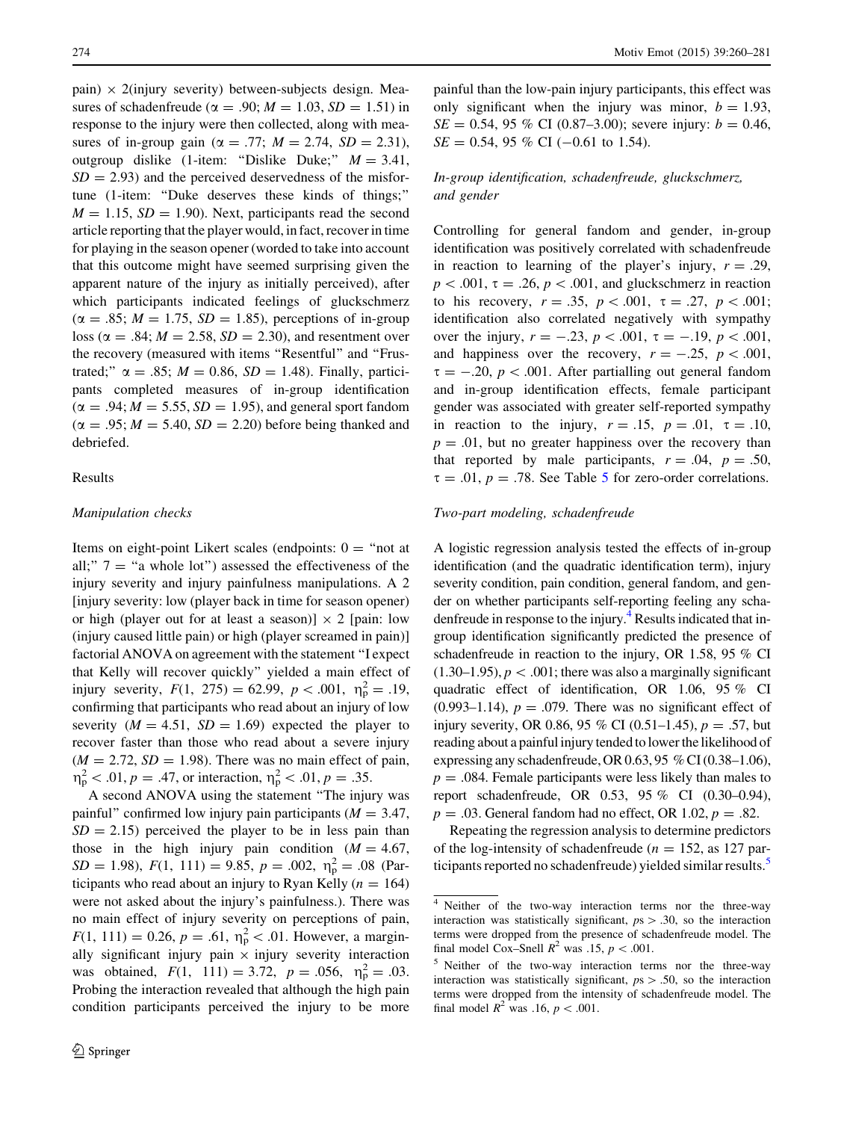pain)  $\times$  2(injury severity) between-subjects design. Measures of schadenfreude ( $\alpha = .90$ ;  $M = 1.03$ ,  $SD = 1.51$ ) in response to the injury were then collected, along with measures of in-group gain ( $\alpha = .77$ ;  $M = 2.74$ ,  $SD = 2.31$ ), outgroup dislike (1-item: "Dislike Duke;"  $M = 3.41$ ,  $SD = 2.93$ ) and the perceived deservedness of the misfortune (1-item: ''Duke deserves these kinds of things;''  $M = 1.15$ ,  $SD = 1.90$ ). Next, participants read the second article reporting that the player would, in fact, recover in time for playing in the season opener (worded to take into account that this outcome might have seemed surprising given the apparent nature of the injury as initially perceived), after which participants indicated feelings of gluckschmerz  $(\alpha = .85; M = 1.75, SD = 1.85)$ , perceptions of in-group loss ( $\alpha = .84$ ;  $M = 2.58$ ,  $SD = 2.30$ ), and resentment over the recovery (measured with items ''Resentful'' and ''Frustrated;"  $\alpha = .85$ ;  $M = 0.86$ ,  $SD = 1.48$ ). Finally, participants completed measures of in-group identification  $(\alpha = .94; M = 5.55, SD = 1.95)$ , and general sport fandom  $(\alpha = .95; M = 5.40, SD = 2.20)$  before being thanked and debriefed.

## Results

#### Manipulation checks

Items on eight-point Likert scales (endpoints:  $0 =$  "not at all;"  $7 =$  "a whole lot") assessed the effectiveness of the injury severity and injury painfulness manipulations. A 2 [injury severity: low (player back in time for season opener) or high (player out for at least a season)]  $\times$  2 [pain: low (injury caused little pain) or high (player screamed in pain)] factorial ANOVA on agreement with the statement ''I expect that Kelly will recover quickly'' yielded a main effect of injury severity,  $F(1, 275) = 62.99, p < .001, \eta_p^2 = .19$ , confirming that participants who read about an injury of low severity  $(M = 4.51, SD = 1.69)$  expected the player to recover faster than those who read about a severe injury  $(M = 2.72, SD = 1.98)$ . There was no main effect of pain,  $\eta_{\rm p}^2$  < .01, p = .47, or interaction,  $\eta_{\rm p}^2$  < .01, p = .35.

A second ANOVA using the statement ''The injury was painful" confirmed low injury pain participants ( $M = 3.47$ ,  $SD = 2.15$ ) perceived the player to be in less pain than those in the high injury pain condition  $(M = 4.67)$ ,  $SD = 1.98$ ),  $F(1, 111) = 9.85$ ,  $p = .002$ ,  $\eta_{\rm p}^2 = .08$  (Participants who read about an injury to Ryan Kelly ( $n = 164$ ) were not asked about the injury's painfulness.). There was no main effect of injury severity on perceptions of pain,  $F(1, 111) = 0.26, p = .61, \eta_{\rm p}^2 < .01$ . However, a marginally significant injury pain  $\times$  injury severity interaction was obtained,  $F(1, 111) = 3.72$ ,  $p = .056$ ,  $\eta_p^2 = .03$ . Probing the interaction revealed that although the high pain condition participants perceived the injury to be more

painful than the low-pain injury participants, this effect was only significant when the injury was minor,  $b = 1.93$ ,  $SE = 0.54, 95\%$  CI (0.87–3.00); severe injury:  $b = 0.46$ ,  $SE = 0.54$ , 95 % CI (-0.61 to 1.54).

# In-group identification, schadenfreude, gluckschmerz, and gender

Controlling for general fandom and gender, in-group identification was positively correlated with schadenfreude in reaction to learning of the player's injury,  $r = .29$ ,  $p\lt .001$ ,  $\tau = .26$ ,  $p\lt .001$ , and gluckschmerz in reaction to his recovery,  $r = .35$ ,  $p < .001$ ,  $\tau = .27$ ,  $p < .001$ ; identification also correlated negatively with sympathy over the injury,  $r = -.23$ ,  $p < .001$ ,  $\tau = -.19$ ,  $p < .001$ , and happiness over the recovery,  $r = -.25$ ,  $p < .001$ ,  $\tau = -.20, p < .001$ . After partialling out general fandom and in-group identification effects, female participant gender was associated with greater self-reported sympathy in reaction to the injury,  $r = .15$ ,  $p = .01$ ,  $\tau = .10$ ,  $p = .01$ , but no greater happiness over the recovery than that reported by male participants,  $r = .04$ ,  $p = .50$ ,  $\tau = .01$ ,  $p = .78$ . See Table [5](#page-15-0) for zero-order correlations.

# Two-part modeling, schadenfreude

A logistic regression analysis tested the effects of in-group identification (and the quadratic identification term), injury severity condition, pain condition, general fandom, and gender on whether participants self-reporting feeling any schadenfreude in response to the injury.<sup>4</sup> Results indicated that ingroup identification significantly predicted the presence of schadenfreude in reaction to the injury, OR 1.58, 95 % CI  $(1.30-1.95)$ ,  $p < .001$ ; there was also a marginally significant quadratic effect of identification, OR 1.06, 95 % CI (0.993–1.14),  $p = .079$ . There was no significant effect of injury severity, OR 0.86, 95 % CI (0.51–1.45),  $p = .57$ , but reading about a painful injury tended to lower the likelihood of expressing any schadenfreude, OR 0.63, 95 % CI (0.38–1.06),  $p = .084$ . Female participants were less likely than males to report schadenfreude, OR 0.53, 95 % CI (0.30–0.94),  $p = .03$ . General fandom had no effect, OR 1.02,  $p = .82$ .

Repeating the regression analysis to determine predictors of the log-intensity of schadenfreude ( $n = 152$ , as 127 participants reported no schadenfreude) yielded similar results.<sup>5</sup>

<sup>&</sup>lt;sup>4</sup> Neither of the two-way interaction terms nor the three-way interaction was statistically significant,  $ps > .30$ , so the interaction terms were dropped from the presence of schadenfreude model. The final model Cox–Snell  $R^2$  was .15,  $p < .001$ .

<sup>5</sup> Neither of the two-way interaction terms nor the three-way interaction was statistically significant,  $ps > .50$ , so the interaction terms were dropped from the intensity of schadenfreude model. The final model  $R^2$  was .16,  $p\lt$  .001.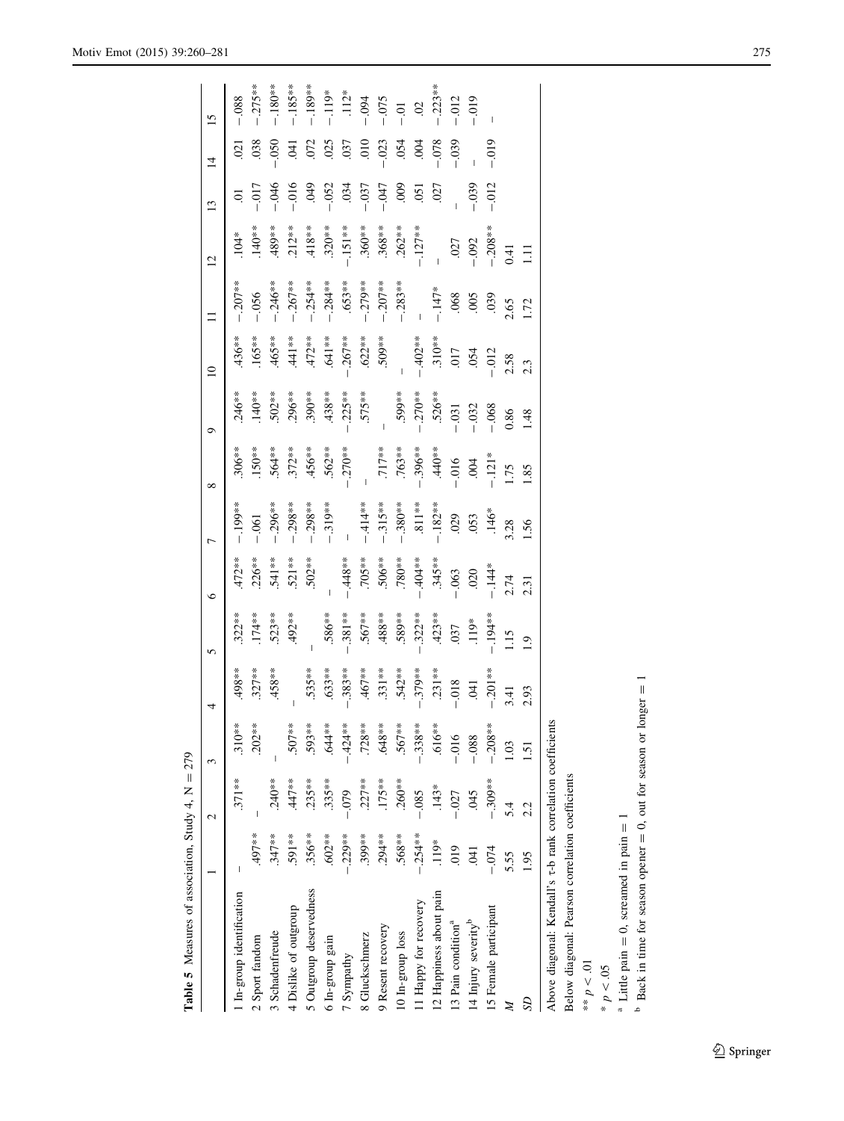**Table 5** Measures of association, Study 4,  $N = 279$ 

**Table 5** Measures of association, Study 4, N =  $279$ 

<span id="page-15-0"></span>

|                                                             |                          | $\mathbf{c}$ | ξ               |            |                | ७        |           | ∞         | O         | $\approx$ |            | $\overline{c}$ | $\mathbf{13}$    | $\vec{v}$               | Ν.             |
|-------------------------------------------------------------|--------------------------|--------------|-----------------|------------|----------------|----------|-----------|-----------|-----------|-----------|------------|----------------|------------------|-------------------------|----------------|
| In-group identification                                     | $\overline{\phantom{a}}$ | $.371**$     | $.310**$        | **864      | $322**$        | 472**    | $-.199**$ |           | $246***$  | 436**     | $-0.207**$ | $.104*$        | ට                | $\overline{\mathrm{S}}$ | $-.088$        |
| 2 Sport fandom                                              | **197                    | I            | $202**$         | $327***$   | $174***$       | $.226**$ | $-0.61$   | $150**$   | $140**$   | $.165***$ | $-0.056$   | $140**$        |                  | 038                     | $-0.275**$     |
| 3 Schadenfreude                                             | $.347***$                | .240 **      | I               | $458***$   | 523**          | $.541**$ | $-296***$ | .564**    | 502**     | $465***$  | $-0.246**$ | **684          | $-046$           | $-0.050$                | $-.180**$      |
| 4 Dislike of outgroup                                       | ** 165.                  | $.447**$     | $.507**$        |            | **267.         | $.521**$ | $-298**$  | $.372***$ | .296**    | $.441**$  | $-0.267**$ | $.212**$       |                  | E                       | $-.185**$      |
| 5 Outgroup deservedness                                     | $.356**$                 | $.235**$     | .593**          | $.535***$  |                | $.502**$ | $-298**$  | .456**    | .390**    | $.472***$ | $-0.254**$ | $.418**$       | <b>949.</b>      | .072                    | $-189**$       |
| 6 In-group gain                                             | $.602***$                | $.335**$     | .644**          | .633**     | .586**         |          | $-319**$  | $.562**$  | $438***$  | $.641**$  | $-0.284**$ | $.320***$      | $-.052$          | .025                    | $-119*$        |
| 7 Sympathy                                                  | $-0.229**$               | $-0.079$     | $-0.424***$     | $-.383**$  | $-.381***$     | $-448**$ |           | $-270**$  | $-.225**$ | $-.267**$ | $.653***$  | $-151***$      | .034             | .037                    | $.112*$        |
| 8 Gluckschmerz                                              | .399**                   | $.227***$    | $.728***$       | $.467**$   | $.567***$      | $.705**$ | $-414**$  |           | $.575***$ | $.622**$  | $-.279***$ | $.360***$      | $-0.37$          | 010                     | $-0.094$       |
| 9 Resent recovery                                           | $.294***$                | .175**       | .648**          | $.331**$   | $488***$       | .506**   | $-.315**$ | $.717**$  | Ī         | **605.    | $-.207**$  | $.368**$       | $-0.47$          | $-.023$                 | $-075$         |
| 10 In-group loss                                            | **895.                   | $.260***$    | $.567**$        | $.542**$   | .589**         | $.780**$ | $-380**$  | $.763**$  | 599**     |           | $-.283**$  | $.262**$       | $\frac{60}{2}$   | .054                    | $-0$           |
| 11 Happy for recovery                                       | $-0.254**$               | $-0.085$     | $-.338**$       | $-.379***$ | $-322**$       | $-404**$ | $.811**$  | $-396**$  | $-.270**$ | $-402**$  |            | $-.127**$      | .051             | .004                    | $\overline{0}$ |
| 12 Happiness about pain                                     | $.119*$                  | $.143*$      | $.616**$        | $.231***$  | $.423**$       | $.345**$ | $-182**$  | $440**$   | $.526***$ | $.310***$ | $-.147*$   |                | $\overline{027}$ | $-0.078$                | $-.223**$      |
| 13 Pain condition <sup>a</sup>                              | 019                      | $-.027$      | $-0.016$        | $-.018$    | .037           | $-.063$  | 029       | $-.016$   | $-.031$   | .017      | .068       | .027           |                  | $-0.39$                 | $-.012$        |
| 14 Injury severity <sup>b</sup>                             | EQ.                      | <b>CHO.</b>  | $-.088$         | .041       | $.119*$        | .020     | .053      | 004       | $-0.32$   | .054      | 005        | $-.092$        | $-039$           |                         | $-0.019$       |
| 15 Female participant                                       | $-.074$                  | $-.309**$    | $-0.208**$      | $-201**$   | $-194**$       | $-144*$  | $.146*$   | $-121*$   | $-068$    | $-.012$   | 039        | $-0.208**$     | $-0.012$         | $-0.019$                |                |
| Ź                                                           | 5.55                     | 54           | 1.03            | 3.41       | 115            | 2.74     | 3.28      | .75       | 0.86      | 2.58      | 2.65       | 0.41           |                  |                         |                |
| $\mathcal{L}$                                               | 0.95                     | 2.2          | $\overline{51}$ | 2.93       | $\overline{6}$ | 2.31     | .56       | 1.85      | 48        |           | 1.72       |                |                  |                         |                |
| Above diagonal: Kendall's τ-b rank correlation coefficients |                          |              |                 |            |                |          |           |           |           |           |            |                |                  |                         |                |

Above diagonal: Kendall's  $\tau$ -b rank correlation coefficients

Below diagonal: Pearson correlation coefficients Below diagonal: Pearson correlation coefficients

 $* \, p < 01$ 

 $p < 0.05$ 

<sup>a</sup> Little pain = 0, screamed in pain = 1  $\lambda$  Little pain = 0, screamed in pain = 1  $\frac{b}{c}$  Back in time for season opener = 0, out for season or longer = 1  $Back$  in time for season opener = 0, out for season or longer = 1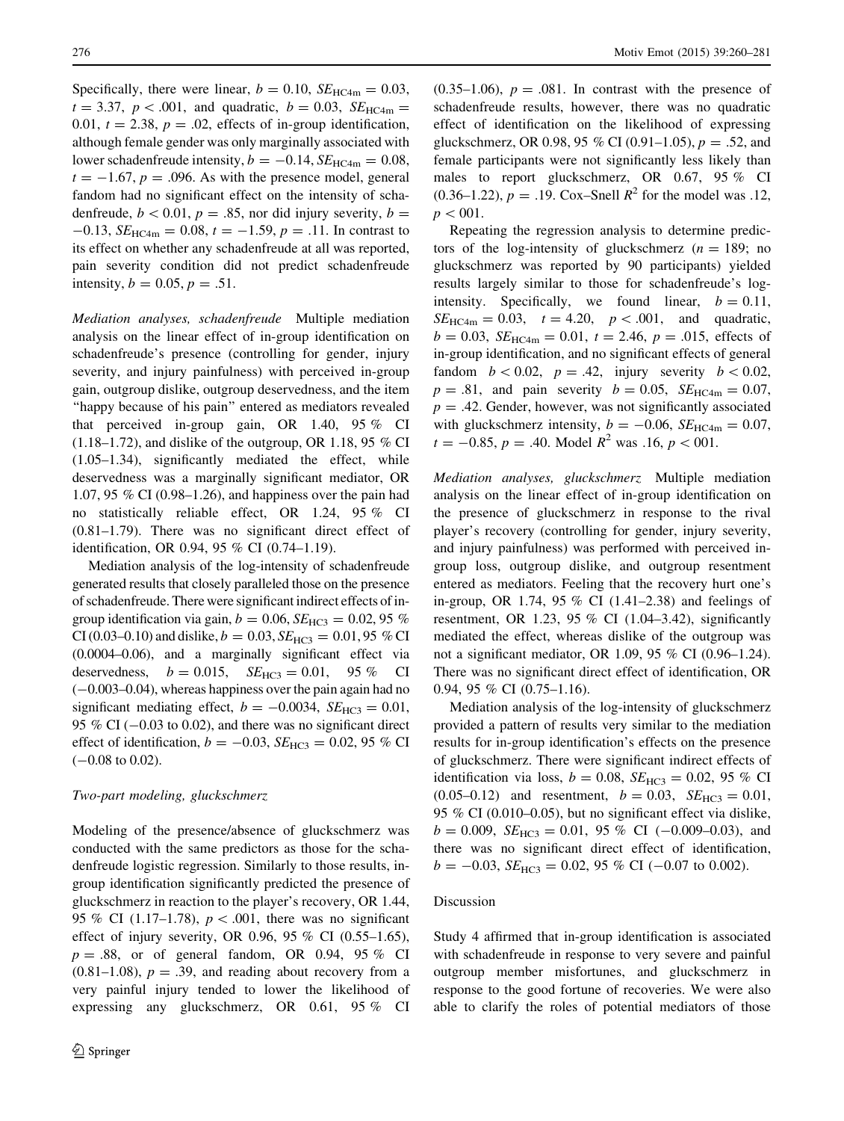Specifically, there were linear,  $b = 0.10$ ,  $SE_{HC4m} = 0.03$ ,  $t = 3.37, p < .001$ , and quadratic,  $b = 0.03$ ,  $SE_{HC4m} =$ 0.01,  $t = 2.38$ ,  $p = .02$ , effects of in-group identification, although female gender was only marginally associated with lower schadenfreude intensity,  $b = -0.14$ ,  $SE_{HC4m} = 0.08$ ,  $t = -1.67$ ,  $p = .096$ . As with the presence model, general fandom had no significant effect on the intensity of schadenfreude,  $b < 0.01$ ,  $p = .85$ , nor did injury severity,  $b =$  $-0.13$ ,  $SE_{HC4m} = 0.08$ ,  $t = -1.59$ ,  $p = .11$ . In contrast to its effect on whether any schadenfreude at all was reported, pain severity condition did not predict schadenfreude intensity,  $b = 0.05, p = .51$ .

Mediation analyses, schadenfreude Multiple mediation analysis on the linear effect of in-group identification on schadenfreude's presence (controlling for gender, injury severity, and injury painfulness) with perceived in-group gain, outgroup dislike, outgroup deservedness, and the item "happy because of his pain" entered as mediators revealed that perceived in-group gain, OR 1.40, 95 % CI  $(1.18-1.72)$ , and dislike of the outgroup, OR 1.18, 95 % CI (1.05–1.34), significantly mediated the effect, while deservedness was a marginally significant mediator, OR 1.07, 95 % CI (0.98–1.26), and happiness over the pain had no statistically reliable effect, OR 1.24, 95 % CI (0.81–1.79). There was no significant direct effect of identification, OR 0.94, 95 % CI (0.74–1.19).

Mediation analysis of the log-intensity of schadenfreude generated results that closely paralleled those on the presence of schadenfreude. There were significant indirect effects of ingroup identification via gain,  $b = 0.06$ ,  $SE_{HC3} = 0.02$ , 95 % CI (0.03–0.10) and dislike,  $b = 0.03$ ,  $SE_{HC3} = 0.01$ , 95 % CI (0.0004–0.06), and a marginally significant effect via deservedness,  $b = 0.015$ ,  $SE_{HC3} = 0.01$ , 95 % CI  $(-0.003-0.04)$ , whereas happiness over the pain again had no significant mediating effect,  $b = -0.0034$ ,  $SE_{HC3} = 0.01$ , 95 % CI ( $-0.03$  to 0.02), and there was no significant direct effect of identification,  $b = -0.03$ ,  $SE_{HC3} = 0.02$ , 95 % CI  $(-0.08 \text{ to } 0.02)$ .

#### Two-part modeling, gluckschmerz

Modeling of the presence/absence of gluckschmerz was conducted with the same predictors as those for the schadenfreude logistic regression. Similarly to those results, ingroup identification significantly predicted the presence of gluckschmerz in reaction to the player's recovery, OR 1.44, 95 % CI (1.17–1.78),  $p < .001$ , there was no significant effect of injury severity, OR 0.96, 95 % CI (0.55–1.65),  $p = .88$ , or of general fandom, OR 0.94, 95 % CI  $(0.81-1.08)$ ,  $p = .39$ , and reading about recovery from a very painful injury tended to lower the likelihood of expressing any gluckschmerz, OR 0.61, 95 % CI  $(0.35-1.06)$ ,  $p = .081$ . In contrast with the presence of schadenfreude results, however, there was no quadratic effect of identification on the likelihood of expressing gluckschmerz, OR 0.98, 95 % CI (0.91–1.05),  $p = .52$ , and female participants were not significantly less likely than males to report gluckschmerz, OR 0.67, 95 % CI (0.36–1.22),  $p = .19$ . Cox–Snell  $R^2$  for the model was .12,  $p < 001$ .

Repeating the regression analysis to determine predictors of the log-intensity of gluckschmerz ( $n = 189$ ; no gluckschmerz was reported by 90 participants) yielded results largely similar to those for schadenfreude's logintensity. Specifically, we found linear,  $b = 0.11$ ,  $SE_{HC4m} = 0.03$ ,  $t = 4.20$ ,  $p < .001$ , and quadratic,  $b = 0.03$ ,  $SE_{HC4m} = 0.01$ ,  $t = 2.46$ ,  $p = .015$ , effects of in-group identification, and no significant effects of general fandom  $b < 0.02$ ,  $p = .42$ , injury severity  $b < 0.02$ ,  $p = .81$ , and pain severity  $b = 0.05$ ,  $SE_{HC4m} = 0.07$ ,  $p = .42$ . Gender, however, was not significantly associated with gluckschmerz intensity,  $b = -0.06$ ,  $SE_{HC4m} = 0.07$ ,  $t = -0.85$ ,  $p = .40$ . Model  $R^2$  was .16,  $p < 001$ .

Mediation analyses, gluckschmerz Multiple mediation analysis on the linear effect of in-group identification on the presence of gluckschmerz in response to the rival player's recovery (controlling for gender, injury severity, and injury painfulness) was performed with perceived ingroup loss, outgroup dislike, and outgroup resentment entered as mediators. Feeling that the recovery hurt one's in-group, OR 1.74, 95 % CI (1.41–2.38) and feelings of resentment, OR 1.23, 95 % CI (1.04–3.42), significantly mediated the effect, whereas dislike of the outgroup was not a significant mediator, OR 1.09, 95 % CI (0.96–1.24). There was no significant direct effect of identification, OR 0.94, 95 % CI (0.75–1.16).

Mediation analysis of the log-intensity of gluckschmerz provided a pattern of results very similar to the mediation results for in-group identification's effects on the presence of gluckschmerz. There were significant indirect effects of identification via loss,  $b = 0.08$ ,  $SE_{HC3} = 0.02$ , 95 % CI  $(0.05-0.12)$  and resentment,  $b = 0.03$ ,  $SE_{HC3} = 0.01$ , 95 % CI (0.010–0.05), but no significant effect via dislike,  $b = 0.009$ ,  $SE_{HC3} = 0.01$ , 95 % CI (-0.009-0.03), and there was no significant direct effect of identification,  $b = -0.03$ ,  $SE_{HC3} = 0.02$ , 95 % CI (-0.07 to 0.002).

#### Discussion

Study 4 affirmed that in-group identification is associated with schadenfreude in response to very severe and painful outgroup member misfortunes, and gluckschmerz in response to the good fortune of recoveries. We were also able to clarify the roles of potential mediators of those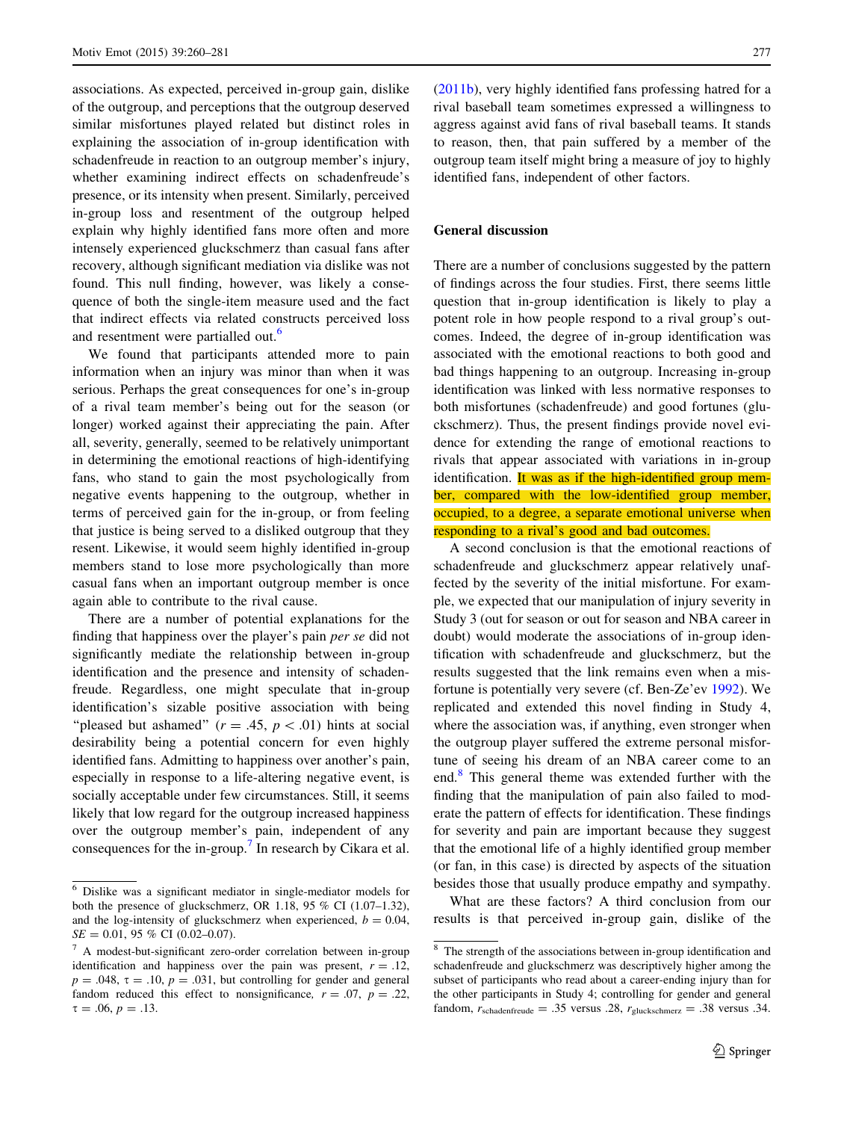associations. As expected, perceived in-group gain, dislike of the outgroup, and perceptions that the outgroup deserved similar misfortunes played related but distinct roles in explaining the association of in-group identification with schadenfreude in reaction to an outgroup member's injury, whether examining indirect effects on schadenfreude's presence, or its intensity when present. Similarly, perceived in-group loss and resentment of the outgroup helped explain why highly identified fans more often and more intensely experienced gluckschmerz than casual fans after recovery, although significant mediation via dislike was not found. This null finding, however, was likely a consequence of both the single-item measure used and the fact that indirect effects via related constructs perceived loss and resentment were partialled out.<sup>6</sup>

We found that participants attended more to pain information when an injury was minor than when it was serious. Perhaps the great consequences for one's in-group of a rival team member's being out for the season (or longer) worked against their appreciating the pain. After all, severity, generally, seemed to be relatively unimportant in determining the emotional reactions of high-identifying fans, who stand to gain the most psychologically from negative events happening to the outgroup, whether in terms of perceived gain for the in-group, or from feeling that justice is being served to a disliked outgroup that they resent. Likewise, it would seem highly identified in-group members stand to lose more psychologically than more casual fans when an important outgroup member is once again able to contribute to the rival cause.

There are a number of potential explanations for the finding that happiness over the player's pain per se did not significantly mediate the relationship between in-group identification and the presence and intensity of schadenfreude. Regardless, one might speculate that in-group identification's sizable positive association with being "pleased but ashamed" ( $r = .45$ ,  $p < .01$ ) hints at social desirability being a potential concern for even highly identified fans. Admitting to happiness over another's pain, especially in response to a life-altering negative event, is socially acceptable under few circumstances. Still, it seems likely that low regard for the outgroup increased happiness over the outgroup member's pain, independent of any consequences for the in-group.<sup>7</sup> In research by Cikara et al.

[\(2011b](#page-19-0)), very highly identified fans professing hatred for a rival baseball team sometimes expressed a willingness to aggress against avid fans of rival baseball teams. It stands to reason, then, that pain suffered by a member of the outgroup team itself might bring a measure of joy to highly identified fans, independent of other factors.

# General discussion

There are a number of conclusions suggested by the pattern of findings across the four studies. First, there seems little question that in-group identification is likely to play a potent role in how people respond to a rival group's outcomes. Indeed, the degree of in-group identification was associated with the emotional reactions to both good and bad things happening to an outgroup. Increasing in-group identification was linked with less normative responses to both misfortunes (schadenfreude) and good fortunes (gluckschmerz). Thus, the present findings provide novel evidence for extending the range of emotional reactions to rivals that appear associated with variations in in-group identification. It was as if the high-identified group member, compared with the low-identified group member, occupied, to a degree, a separate emotional universe when responding to a rival's good and bad outcomes.

A second conclusion is that the emotional reactions of schadenfreude and gluckschmerz appear relatively unaffected by the severity of the initial misfortune. For example, we expected that our manipulation of injury severity in Study 3 (out for season or out for season and NBA career in doubt) would moderate the associations of in-group identification with schadenfreude and gluckschmerz, but the results suggested that the link remains even when a misfortune is potentially very severe (cf. Ben-Ze'ev [1992\)](#page-19-0). We replicated and extended this novel finding in Study 4, where the association was, if anything, even stronger when the outgroup player suffered the extreme personal misfortune of seeing his dream of an NBA career come to an end.<sup>8</sup> This general theme was extended further with the finding that the manipulation of pain also failed to moderate the pattern of effects for identification. These findings for severity and pain are important because they suggest that the emotional life of a highly identified group member (or fan, in this case) is directed by aspects of the situation besides those that usually produce empathy and sympathy.

What are these factors? A third conclusion from our results is that perceived in-group gain, dislike of the

<sup>6</sup> Dislike was a significant mediator in single-mediator models for both the presence of gluckschmerz, OR 1.18, 95 % CI (1.07–1.32), and the log-intensity of gluckschmerz when experienced,  $b = 0.04$ ,  $SE = 0.01, 95\%$  CI (0.02–0.07).

 $<sup>7</sup>$  A modest-but-significant zero-order correlation between in-group</sup> identification and happiness over the pain was present,  $r = .12$ ,  $p = .048$ ,  $\tau = .10$ ,  $p = .031$ , but controlling for gender and general fandom reduced this effect to nonsignificance,  $r = .07$ ,  $p = .22$ ,  $\tau = .06, p = .13.$ 

 $\overline{8}$  The strength of the associations between in-group identification and schadenfreude and gluckschmerz was descriptively higher among the subset of participants who read about a career-ending injury than for the other participants in Study 4; controlling for gender and general fandom,  $r_{\text{schadenfreude}} = .35$  versus .28,  $r_{\text{gluckschmerz}} = .38$  versus .34.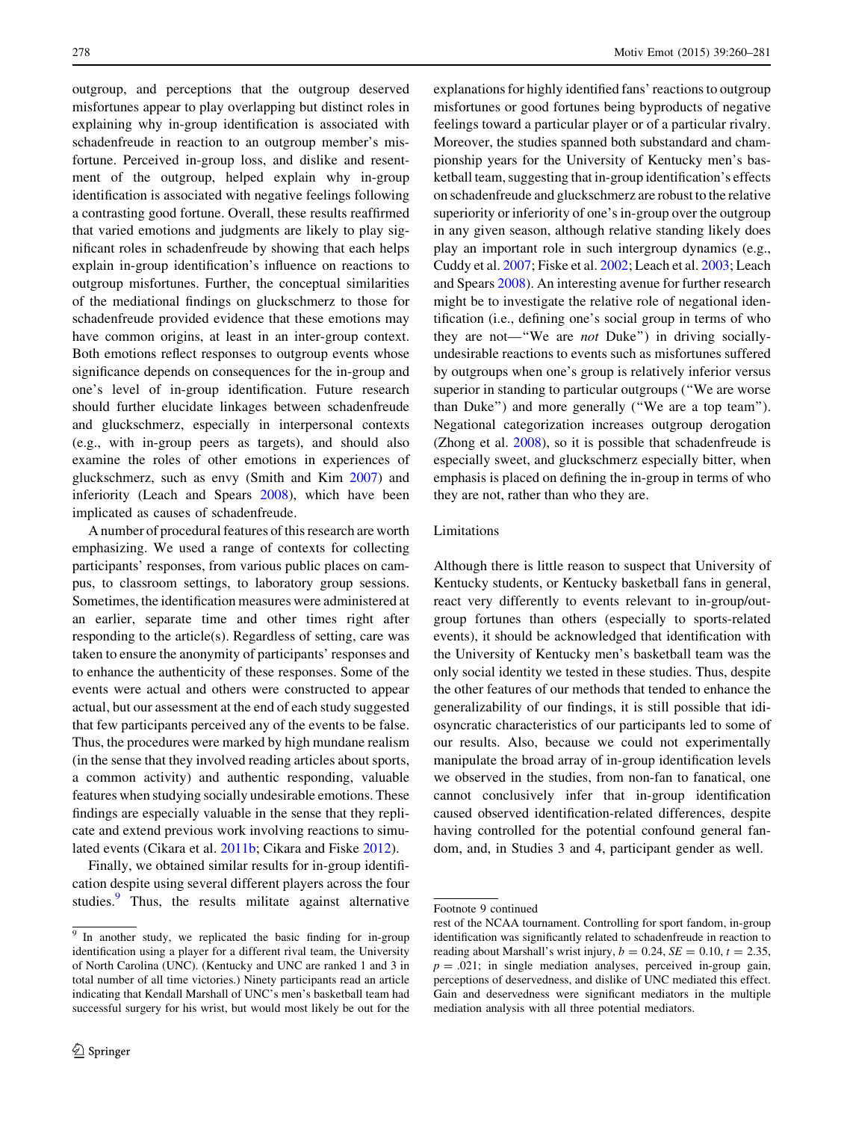outgroup, and perceptions that the outgroup deserved misfortunes appear to play overlapping but distinct roles in explaining why in-group identification is associated with schadenfreude in reaction to an outgroup member's misfortune. Perceived in-group loss, and dislike and resentment of the outgroup, helped explain why in-group identification is associated with negative feelings following a contrasting good fortune. Overall, these results reaffirmed that varied emotions and judgments are likely to play significant roles in schadenfreude by showing that each helps explain in-group identification's influence on reactions to outgroup misfortunes. Further, the conceptual similarities of the mediational findings on gluckschmerz to those for schadenfreude provided evidence that these emotions may have common origins, at least in an inter-group context. Both emotions reflect responses to outgroup events whose significance depends on consequences for the in-group and one's level of in-group identification. Future research should further elucidate linkages between schadenfreude and gluckschmerz, especially in interpersonal contexts (e.g., with in-group peers as targets), and should also examine the roles of other emotions in experiences of gluckschmerz, such as envy (Smith and Kim [2007\)](#page-20-0) and inferiority (Leach and Spears [2008\)](#page-20-0), which have been implicated as causes of schadenfreude.

A number of procedural features of this research are worth emphasizing. We used a range of contexts for collecting participants' responses, from various public places on campus, to classroom settings, to laboratory group sessions. Sometimes, the identification measures were administered at an earlier, separate time and other times right after responding to the article(s). Regardless of setting, care was taken to ensure the anonymity of participants' responses and to enhance the authenticity of these responses. Some of the events were actual and others were constructed to appear actual, but our assessment at the end of each study suggested that few participants perceived any of the events to be false. Thus, the procedures were marked by high mundane realism (in the sense that they involved reading articles about sports, a common activity) and authentic responding, valuable features when studying socially undesirable emotions. These findings are especially valuable in the sense that they replicate and extend previous work involving reactions to simulated events (Cikara et al. [2011b;](#page-19-0) Cikara and Fiske [2012](#page-20-0)).

Finally, we obtained similar results for in-group identification despite using several different players across the four studies.<sup>9</sup> Thus, the results militate against alternative explanations for highly identified fans' reactions to outgroup misfortunes or good fortunes being byproducts of negative feelings toward a particular player or of a particular rivalry. Moreover, the studies spanned both substandard and championship years for the University of Kentucky men's basketball team, suggesting that in-group identification's effects on schadenfreude and gluckschmerz are robust to the relative superiority or inferiority of one's in-group over the outgroup in any given season, although relative standing likely does play an important role in such intergroup dynamics (e.g., Cuddy et al. [2007](#page-20-0); Fiske et al. [2002;](#page-20-0) Leach et al. [2003](#page-20-0); Leach and Spears [2008](#page-20-0)). An interesting avenue for further research might be to investigate the relative role of negational identification (i.e., defining one's social group in terms of who they are not—''We are not Duke'') in driving sociallyundesirable reactions to events such as misfortunes suffered by outgroups when one's group is relatively inferior versus superior in standing to particular outgroups ("We are worse than Duke'') and more generally (''We are a top team''). Negational categorization increases outgroup derogation (Zhong et al. [2008](#page-21-0)), so it is possible that schadenfreude is especially sweet, and gluckschmerz especially bitter, when emphasis is placed on defining the in-group in terms of who they are not, rather than who they are.

## Limitations

Although there is little reason to suspect that University of Kentucky students, or Kentucky basketball fans in general, react very differently to events relevant to in-group/outgroup fortunes than others (especially to sports-related events), it should be acknowledged that identification with the University of Kentucky men's basketball team was the only social identity we tested in these studies. Thus, despite the other features of our methods that tended to enhance the generalizability of our findings, it is still possible that idiosyncratic characteristics of our participants led to some of our results. Also, because we could not experimentally manipulate the broad array of in-group identification levels we observed in the studies, from non-fan to fanatical, one cannot conclusively infer that in-group identification caused observed identification-related differences, despite having controlled for the potential confound general fandom, and, in Studies 3 and 4, participant gender as well.

<sup>&</sup>lt;sup>9</sup> In another study, we replicated the basic finding for in-group identification using a player for a different rival team, the University of North Carolina (UNC). (Kentucky and UNC are ranked 1 and 3 in total number of all time victories.) Ninety participants read an article indicating that Kendall Marshall of UNC's men's basketball team had successful surgery for his wrist, but would most likely be out for the

Footnote 9 continued

rest of the NCAA tournament. Controlling for sport fandom, in-group identification was significantly related to schadenfreude in reaction to reading about Marshall's wrist injury,  $b = 0.24$ ,  $SE = 0.10$ ,  $t = 2.35$ ,  $p = .021$ ; in single mediation analyses, perceived in-group gain, perceptions of deservedness, and dislike of UNC mediated this effect. Gain and deservedness were significant mediators in the multiple mediation analysis with all three potential mediators.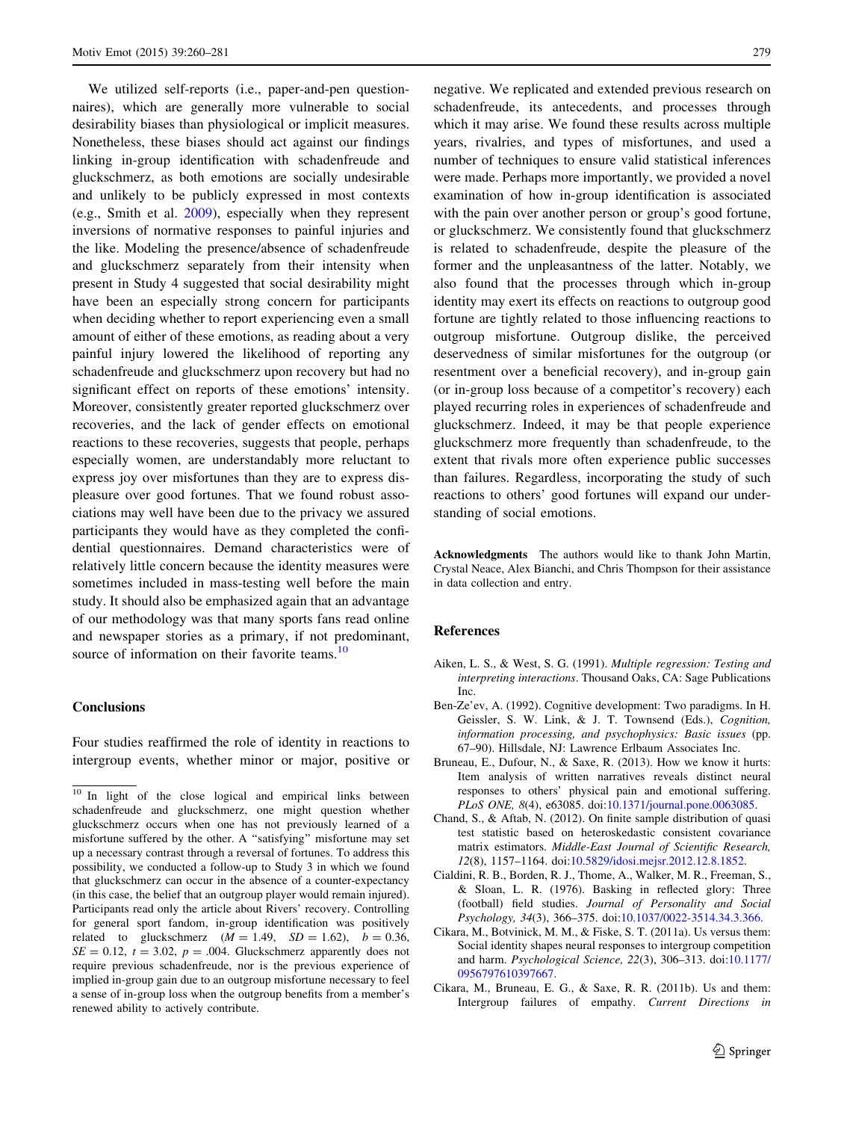<span id="page-19-0"></span>We utilized self-reports (i.e., paper-and-pen questionnaires), which are generally more vulnerable to social desirability biases than physiological or implicit measures. Nonetheless, these biases should act against our findings linking in-group identification with schadenfreude and gluckschmerz, as both emotions are socially undesirable and unlikely to be publicly expressed in most contexts (e.g., Smith et al. [2009\)](#page-20-0), especially when they represent inversions of normative responses to painful injuries and the like. Modeling the presence/absence of schadenfreude and gluckschmerz separately from their intensity when present in Study 4 suggested that social desirability might have been an especially strong concern for participants when deciding whether to report experiencing even a small amount of either of these emotions, as reading about a very painful injury lowered the likelihood of reporting any schadenfreude and gluckschmerz upon recovery but had no significant effect on reports of these emotions' intensity. Moreover, consistently greater reported gluckschmerz over recoveries, and the lack of gender effects on emotional reactions to these recoveries, suggests that people, perhaps especially women, are understandably more reluctant to express joy over misfortunes than they are to express displeasure over good fortunes. That we found robust associations may well have been due to the privacy we assured participants they would have as they completed the confidential questionnaires. Demand characteristics were of relatively little concern because the identity measures were sometimes included in mass-testing well before the main study. It should also be emphasized again that an advantage of our methodology was that many sports fans read online and newspaper stories as a primary, if not predominant, source of information on their favorite teams.<sup>10</sup>

## **Conclusions**

Four studies reaffirmed the role of identity in reactions to intergroup events, whether minor or major, positive or negative. We replicated and extended previous research on schadenfreude, its antecedents, and processes through which it may arise. We found these results across multiple years, rivalries, and types of misfortunes, and used a number of techniques to ensure valid statistical inferences were made. Perhaps more importantly, we provided a novel examination of how in-group identification is associated with the pain over another person or group's good fortune, or gluckschmerz. We consistently found that gluckschmerz is related to schadenfreude, despite the pleasure of the former and the unpleasantness of the latter. Notably, we also found that the processes through which in-group identity may exert its effects on reactions to outgroup good fortune are tightly related to those influencing reactions to outgroup misfortune. Outgroup dislike, the perceived deservedness of similar misfortunes for the outgroup (or resentment over a beneficial recovery), and in-group gain (or in-group loss because of a competitor's recovery) each played recurring roles in experiences of schadenfreude and gluckschmerz. Indeed, it may be that people experience gluckschmerz more frequently than schadenfreude, to the extent that rivals more often experience public successes than failures. Regardless, incorporating the study of such reactions to others' good fortunes will expand our understanding of social emotions.

Acknowledgments The authors would like to thank John Martin, Crystal Neace, Alex Bianchi, and Chris Thompson for their assistance in data collection and entry.

#### References

- Aiken, L. S., & West, S. G. (1991). Multiple regression: Testing and interpreting interactions. Thousand Oaks, CA: Sage Publications Inc.
- Ben-Ze'ev, A. (1992). Cognitive development: Two paradigms. In H. Geissler, S. W. Link, & J. T. Townsend (Eds.), Cognition, information processing, and psychophysics: Basic issues (pp. 67–90). Hillsdale, NJ: Lawrence Erlbaum Associates Inc.
- Bruneau, E., Dufour, N., & Saxe, R. (2013). How we know it hurts: Item analysis of written narratives reveals distinct neural responses to others' physical pain and emotional suffering. PLoS ONE, 8(4), e63085. doi[:10.1371/journal.pone.0063085.](http://dx.doi.org/10.1371/journal.pone.0063085)
- Chand, S., & Aftab, N. (2012). On finite sample distribution of quasi test statistic based on heteroskedastic consistent covariance matrix estimators. Middle-East Journal of Scientific Research, 12(8), 1157–1164. doi:[10.5829/idosi.mejsr.2012.12.8.1852](http://dx.doi.org/10.5829/idosi.mejsr.2012.12.8.1852).
- Cialdini, R. B., Borden, R. J., Thome, A., Walker, M. R., Freeman, S., & Sloan, L. R. (1976). Basking in reflected glory: Three (football) field studies. Journal of Personality and Social Psychology, 34(3), 366–375. doi[:10.1037/0022-3514.34.3.366.](http://dx.doi.org/10.1037/0022-3514.34.3.366)
- Cikara, M., Botvinick, M. M., & Fiske, S. T. (2011a). Us versus them: Social identity shapes neural responses to intergroup competition and harm. Psychological Science, 22(3), 306–313. doi[:10.1177/](http://dx.doi.org/10.1177/0956797610397667) [0956797610397667.](http://dx.doi.org/10.1177/0956797610397667)
- Cikara, M., Bruneau, E. G., & Saxe, R. R. (2011b). Us and them: Intergroup failures of empathy. Current Directions in

<sup>&</sup>lt;sup>10</sup> In light of the close logical and empirical links between schadenfreude and gluckschmerz, one might question whether gluckschmerz occurs when one has not previously learned of a misfortune suffered by the other. A ''satisfying'' misfortune may set up a necessary contrast through a reversal of fortunes. To address this possibility, we conducted a follow-up to Study 3 in which we found that gluckschmerz can occur in the absence of a counter-expectancy (in this case, the belief that an outgroup player would remain injured). Participants read only the article about Rivers' recovery. Controlling for general sport fandom, in-group identification was positively related to gluckschmerz  $(M = 1.49, SD = 1.62), b = 0.36,$  $SE = 0.12$ ,  $t = 3.02$ ,  $p = .004$ . Gluckschmerz apparently does not require previous schadenfreude, nor is the previous experience of implied in-group gain due to an outgroup misfortune necessary to feel a sense of in-group loss when the outgroup benefits from a member's renewed ability to actively contribute.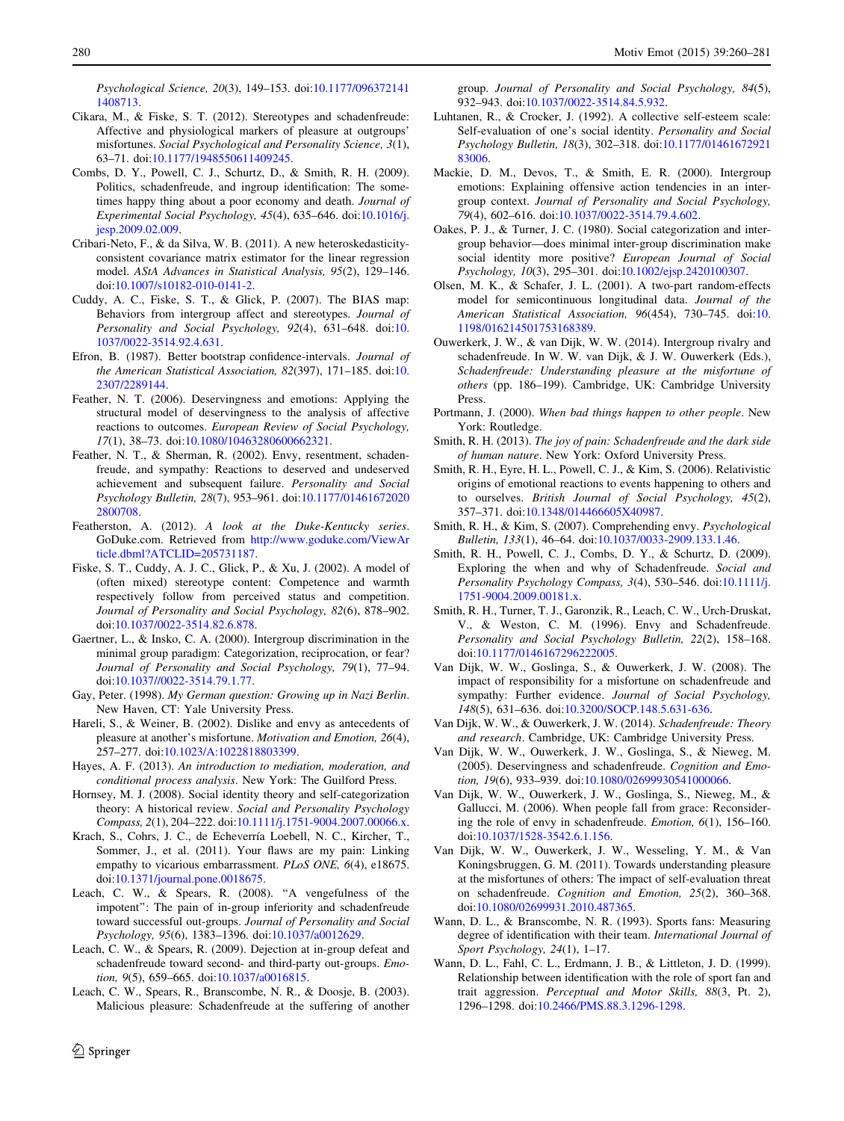- <span id="page-20-0"></span>[1408713.](http://dx.doi.org/10.1177/0963721411408713) Cikara, M., & Fiske, S. T. (2012). Stereotypes and schadenfreude: Affective and physiological markers of pleasure at outgroups' misfortunes. Social Psychological and Personality Science, 3(1), 63–71. doi[:10.1177/1948550611409245](http://dx.doi.org/10.1177/1948550611409245).
- Combs, D. Y., Powell, C. J., Schurtz, D., & Smith, R. H. (2009). Politics, schadenfreude, and ingroup identification: The sometimes happy thing about a poor economy and death. Journal of Experimental Social Psychology, 45(4), 635–646. doi:[10.1016/j.](http://dx.doi.org/10.1016/j.jesp.2009.02.009) [jesp.2009.02.009](http://dx.doi.org/10.1016/j.jesp.2009.02.009).
- Cribari-Neto, F., & da Silva, W. B. (2011). A new heteroskedasticityconsistent covariance matrix estimator for the linear regression model. AStA Advances in Statistical Analysis, 95(2), 129–146. doi[:10.1007/s10182-010-0141-2.](http://dx.doi.org/10.1007/s10182-010-0141-2)
- Cuddy, A. C., Fiske, S. T., & Glick, P. (2007). The BIAS map: Behaviors from intergroup affect and stereotypes. Journal of Personality and Social Psychology, 92(4), 631–648. doi:[10.](http://dx.doi.org/10.1037/0022-3514.92.4.631) [1037/0022-3514.92.4.631.](http://dx.doi.org/10.1037/0022-3514.92.4.631)
- Efron, B. (1987). Better bootstrap confidence-intervals. Journal of the American Statistical Association, 82(397), 171–185. doi:[10.](http://dx.doi.org/10.2307/2289144) [2307/2289144](http://dx.doi.org/10.2307/2289144).
- Feather, N. T. (2006). Deservingness and emotions: Applying the structural model of deservingness to the analysis of affective reactions to outcomes. European Review of Social Psychology, 17(1), 38–73. doi:[10.1080/10463280600662321.](http://dx.doi.org/10.1080/10463280600662321)
- Feather, N. T., & Sherman, R. (2002). Envy, resentment, schadenfreude, and sympathy: Reactions to deserved and undeserved achievement and subsequent failure. Personality and Social Psychology Bulletin, 28(7), 953–961. doi:[10.1177/01461672020](http://dx.doi.org/10.1177/014616720202800708) [2800708.](http://dx.doi.org/10.1177/014616720202800708)
- Featherston, A. (2012). A look at the Duke-Kentucky series. GoDuke.com. Retrieved from [http://www.goduke.com/ViewAr](http://www.goduke.com/ViewArticle.dbml?ATCLID=205731187) [ticle.dbml?ATCLID=205731187](http://www.goduke.com/ViewArticle.dbml?ATCLID=205731187).
- Fiske, S. T., Cuddy, A. J. C., Glick, P., & Xu, J. (2002). A model of (often mixed) stereotype content: Competence and warmth respectively follow from perceived status and competition. Journal of Personality and Social Psychology, 82(6), 878–902. doi[:10.1037/0022-3514.82.6.878.](http://dx.doi.org/10.1037/0022-3514.82.6.878)
- Gaertner, L., & Insko, C. A. (2000). Intergroup discrimination in the minimal group paradigm: Categorization, reciprocation, or fear? Journal of Personality and Social Psychology, 79(1), 77–94. doi[:10.1037//0022-3514.79.1.77.](http://dx.doi.org/10.1037//0022-3514.79.1.77)
- Gay, Peter. (1998). My German question: Growing up in Nazi Berlin. New Haven, CT: Yale University Press.
- Hareli, S., & Weiner, B. (2002). Dislike and envy as antecedents of pleasure at another's misfortune. Motivation and Emotion, 26(4), 257–277. doi:[10.1023/A:1022818803399](http://dx.doi.org/10.1023/A:1022818803399).
- Hayes, A. F. (2013). An introduction to mediation, moderation, and conditional process analysis. New York: The Guilford Press.
- Hornsey, M. J. (2008). Social identity theory and self-categorization theory: A historical review. Social and Personality Psychology Compass, 2(1), 204–222. doi[:10.1111/j.1751-9004.2007.00066.x](http://dx.doi.org/10.1111/j.1751-9004.2007.00066.x).
- Krach, S., Cohrs, J. C., de Echeverría Loebell, N. C., Kircher, T., Sommer, J., et al. (2011). Your flaws are my pain: Linking empathy to vicarious embarrassment. PLoS ONE, 6(4), e18675. doi[:10.1371/journal.pone.0018675.](http://dx.doi.org/10.1371/journal.pone.0018675)
- Leach, C. W., & Spears, R. (2008). "A vengefulness of the impotent'': The pain of in-group inferiority and schadenfreude toward successful out-groups. Journal of Personality and Social Psychology, 95(6), 1383–1396. doi:[10.1037/a0012629](http://dx.doi.org/10.1037/a0012629).
- Leach, C. W., & Spears, R. (2009). Dejection at in-group defeat and schadenfreude toward second- and third-party out-groups. Emo-tion, 9(5), 659-665. doi[:10.1037/a0016815](http://dx.doi.org/10.1037/a0016815).
- Leach, C. W., Spears, R., Branscombe, N. R., & Doosje, B. (2003). Malicious pleasure: Schadenfreude at the suffering of another

group. Journal of Personality and Social Psychology, 84(5), 932–943. doi:[10.1037/0022-3514.84.5.932](http://dx.doi.org/10.1037/0022-3514.84.5.932).

- Luhtanen, R., & Crocker, J. (1992). A collective self-esteem scale: Self-evaluation of one's social identity. Personality and Social Psychology Bulletin, 18(3), 302–318. doi:[10.1177/01461672921](http://dx.doi.org/10.1177/0146167292183006) [83006](http://dx.doi.org/10.1177/0146167292183006).
- Mackie, D. M., Devos, T., & Smith, E. R. (2000). Intergroup emotions: Explaining offensive action tendencies in an intergroup context. Journal of Personality and Social Psychology, 79(4), 602–616. doi[:10.1037/0022-3514.79.4.602.](http://dx.doi.org/10.1037/0022-3514.79.4.602)
- Oakes, P. J., & Turner, J. C. (1980). Social categorization and intergroup behavior—does minimal inter-group discrimination make social identity more positive? European Journal of Social Psychology, 10(3), 295–301. doi[:10.1002/ejsp.2420100307](http://dx.doi.org/10.1002/ejsp.2420100307).
- Olsen, M. K., & Schafer, J. L. (2001). A two-part random-effects model for semicontinuous longitudinal data. Journal of the American Statistical Association, 96(454), 730–745. doi:[10.](http://dx.doi.org/10.1198/016214501753168389) [1198/016214501753168389.](http://dx.doi.org/10.1198/016214501753168389)
- Ouwerkerk, J. W., & van Dijk, W. W. (2014). Intergroup rivalry and schadenfreude. In W. W. van Dijk, & J. W. Ouwerkerk (Eds.), Schadenfreude: Understanding pleasure at the misfortune of others (pp. 186–199). Cambridge, UK: Cambridge University Press.
- Portmann, J. (2000). When bad things happen to other people. New York: Routledge.
- Smith, R. H. (2013). The joy of pain: Schadenfreude and the dark side of human nature. New York: Oxford University Press.
- Smith, R. H., Eyre, H. L., Powell, C. J., & Kim, S. (2006). Relativistic origins of emotional reactions to events happening to others and to ourselves. British Journal of Social Psychology, 45(2), 357–371. doi:[10.1348/014466605X40987](http://dx.doi.org/10.1348/014466605X40987).
- Smith, R. H., & Kim, S. (2007). Comprehending envy. Psychological Bulletin, 133(1), 46–64. doi:[10.1037/0033-2909.133.1.46](http://dx.doi.org/10.1037/0033-2909.133.1.46).
- Smith, R. H., Powell, C. J., Combs, D. Y., & Schurtz, D. (2009). Exploring the when and why of Schadenfreude. Social and Personality Psychology Compass, 3(4), 530–546. doi:[10.1111/j.](http://dx.doi.org/10.1111/j.1751-9004.2009.00181.x) [1751-9004.2009.00181.x.](http://dx.doi.org/10.1111/j.1751-9004.2009.00181.x)
- Smith, R. H., Turner, T. J., Garonzik, R., Leach, C. W., Urch-Druskat, V., & Weston, C. M. (1996). Envy and Schadenfreude. Personality and Social Psychology Bulletin, 22(2), 158–168. doi[:10.1177/0146167296222005](http://dx.doi.org/10.1177/0146167296222005).
- Van Dijk, W. W., Goslinga, S., & Ouwerkerk, J. W. (2008). The impact of responsibility for a misfortune on schadenfreude and sympathy: Further evidence. Journal of Social Psychology, 148(5), 631–636. doi[:10.3200/SOCP.148.5.631-636.](http://dx.doi.org/10.3200/SOCP.148.5.631-636)
- Van Dijk, W. W., & Ouwerkerk, J. W. (2014). Schadenfreude: Theory and research. Cambridge, UK: Cambridge University Press.
- Van Dijk, W. W., Ouwerkerk, J. W., Goslinga, S., & Nieweg, M. (2005). Deservingness and schadenfreude. Cognition and Emotion, 19(6), 933–939. doi[:10.1080/02699930541000066](http://dx.doi.org/10.1080/02699930541000066).
- Van Dijk, W. W., Ouwerkerk, J. W., Goslinga, S., Nieweg, M., & Gallucci, M. (2006). When people fall from grace: Reconsidering the role of envy in schadenfreude. Emotion, 6(1), 156–160. doi[:10.1037/1528-3542.6.1.156.](http://dx.doi.org/10.1037/1528-3542.6.1.156)
- Van Dijk, W. W., Ouwerkerk, J. W., Wesseling, Y. M., & Van Koningsbruggen, G. M. (2011). Towards understanding pleasure at the misfortunes of others: The impact of self-evaluation threat on schadenfreude. Cognition and Emotion, 25(2), 360–368. doi[:10.1080/02699931.2010.487365.](http://dx.doi.org/10.1080/02699931.2010.487365)
- Wann, D. L., & Branscombe, N. R. (1993). Sports fans: Measuring degree of identification with their team. International Journal of Sport Psychology, 24(1), 1-17.
- Wann, D. L., Fahl, C. L., Erdmann, J. B., & Littleton, J. D. (1999). Relationship between identification with the role of sport fan and trait aggression. Perceptual and Motor Skills, 88(3, Pt. 2), 1296–1298. doi[:10.2466/PMS.88.3.1296-1298.](http://dx.doi.org/10.2466/PMS.88.3.1296-1298)